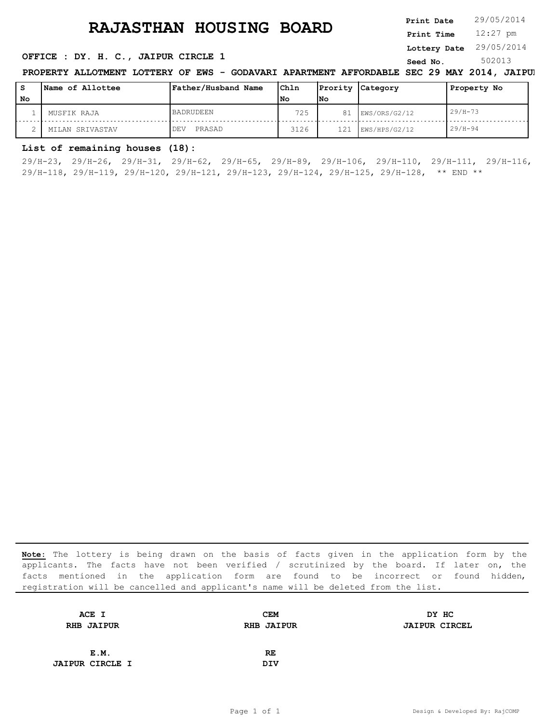# **RAJASTHAN HOUSING BOARD** Print Date 29/05/2014

**Seed No. 302013 <b>OFFICE** : DY. H. C., JAIPUR CIRCLE 1

| Saad No | 502013 |  |
|---------|--------|--|

**Lottery Date** 29/05/2014

**Print Date**

12:27 pm **Print Time**

**PROPERTY ALLOTMENT LOTTERY OF EWS - GODAVARI APARTMENT AFFORDABLE SEC 29 MAY 2014, JAIPUI** 

| s  | Name of Allottee | Father/Husband Name | Chln |     | Prority Category | Property No |
|----|------------------|---------------------|------|-----|------------------|-------------|
| No |                  |                     | l No | lNo |                  |             |
|    | MUSFIK RAJA      | <b>BADRUDEEN</b>    | 725  | 81  | EWS/ORS/G2/12    | $29/H - 73$ |
|    | MILAN SRIVASTAV  | PRASAD<br>DEV       | 3126 | 121 | EWS/HPS/G2/12    | $29/H - 94$ |

### **List of remaining houses (18):**

29/H-23, 29/H-26, 29/H-31, 29/H-62, 29/H-65, 29/H-89, 29/H-106, 29/H-110, 29/H-111, 29/H-116, 29/H-118, 29/H-119, 29/H-120, 29/H-121, 29/H-123, 29/H-124, 29/H-125, 29/H-128, \*\* END \*\*

| ACE I                  | <b>CEM</b>        | DY HC                |
|------------------------|-------------------|----------------------|
| <b>RHB JAIPUR</b>      | <b>RHB JAIPUR</b> | <b>JAIPUR CIRCEL</b> |
|                        |                   |                      |
| E.M.                   | RE                |                      |
| <b>JAIPUR CIRCLE I</b> | <b>DIV</b>        |                      |
|                        |                   |                      |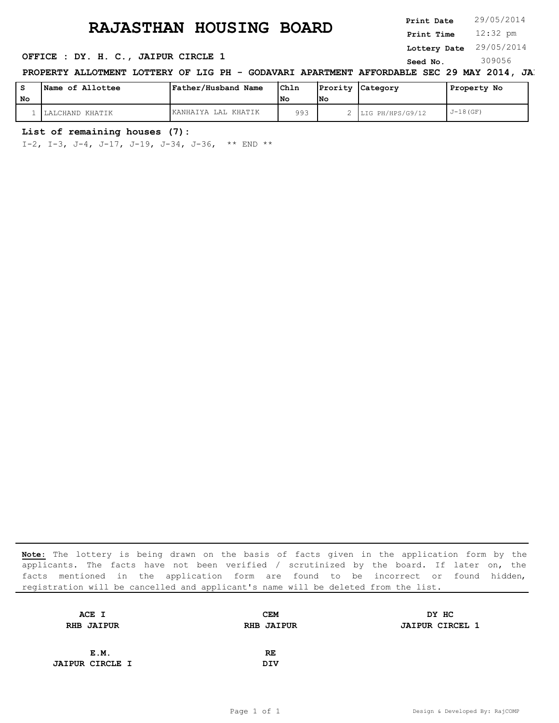**Print Date**

12:32 pm **Print Time**

### **Lottery Date** 29/05/2014

### **OFFICE : DY. H. C., JAIPUR CIRCLE 1** Seed No. 309056

PROPERTY ALLOTMENT LOTTERY OF LIG PH - GODAVARI APARTMENT AFFORDABLE SEC 29 MAY 2014, JAI

|    | Name of Allottee | Father/Husband Name | Ch1n |     | Prority Category | Property No |
|----|------------------|---------------------|------|-----|------------------|-------------|
| No |                  |                     | l No | lNo |                  |             |
|    | LALCHAND KHATIK  | KANHAIYA LAL KHATIK | 993  |     | LIG PH/HPS/G9/12 | $J-18(GF)$  |

#### **List of remaining houses (7):**

I-2, I-3, J-4, J-17, J-19, J-34, J-36, \*\* END \*\*

| ACE I                  | <b>CEM</b>        | DY HC                  |
|------------------------|-------------------|------------------------|
| <b>RHB JAIPUR</b>      | <b>RHB JAIPUR</b> | <b>JAIPUR CIRCEL 1</b> |
|                        |                   |                        |
| E.M.                   | RE.               |                        |
| <b>JAIPUR CIRCLE I</b> | <b>DIV</b>        |                        |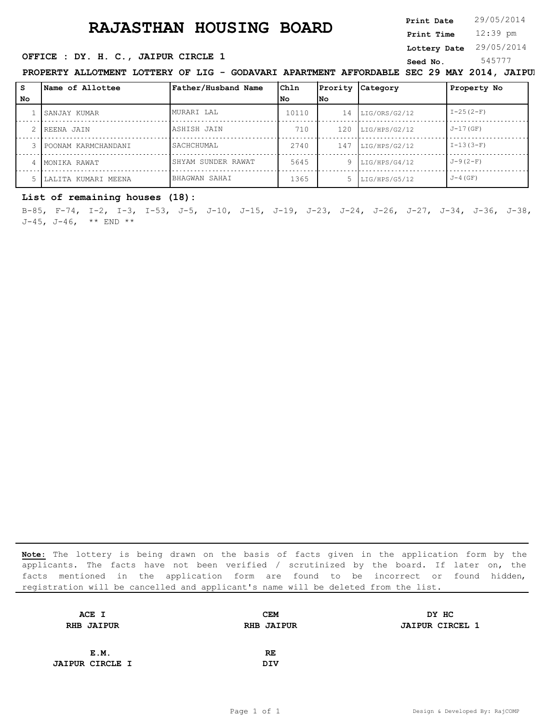12:39 pm **Print Time Print Date**  $29/05/2014$ **Lottery Date** 29/05/2014

### **SERICE : DY. H. C., JAIPUR CIRCLE 1** Seed No. 545777

**PROPERTY ALLOTMENT LOTTERY OF LIG - GODAVARI APARTMENT AFFORDABLE SEC 29 MAY 2014, JAIPU** 

| s  | <b>Name of Allottee</b> | Father/Husband Name | Chln  | Prority   | Category      | Property No    |
|----|-------------------------|---------------------|-------|-----------|---------------|----------------|
| No |                         |                     | l No  | <b>No</b> |               |                |
|    | SANJAY KUMAR            | MURARI LAL          | 10110 | 14        | LIG/ORS/G2/12 | $I - 25 (2-F)$ |
|    | 2 IREENA JAIN           | ASHISH JAIN         | 710   | 120       | LIG/HPS/G2/12 | $J-17(GF)$     |
|    | POONAM KARMCHANDANI     | SACHCHUMAL          | 2740  | 147       | LIG/HPS/G2/12 | $I-13(3-F)$    |
|    | MONIKA RAWAT            | SHYAM SUNDER RAWAT  | 5645  | 9         | LIG/HPS/G4/12 | $J - 9(2-F)$   |
|    | LALITA KUMARI MEENA     | BHAGWAN SAHAI       | 1365  |           | LIG/HPS/G5/12 | $J-4$ (GF)     |

### **List of remaining houses (18):**

B-85, F-74, I-2, I-3, I-53, J-5, J-10, J-15, J-19, J-23, J-24, J-26, J-27, J-34, J-36, J-38, J-45, J-46,  $**$  END  $**$ 

| <b>CEM</b>        | DY HC                  |
|-------------------|------------------------|
| <b>RHB JAIPUR</b> | <b>JAIPUR CIRCEL 1</b> |
|                   |                        |
| RE                |                        |
| <b>DIV</b>        |                        |
|                   |                        |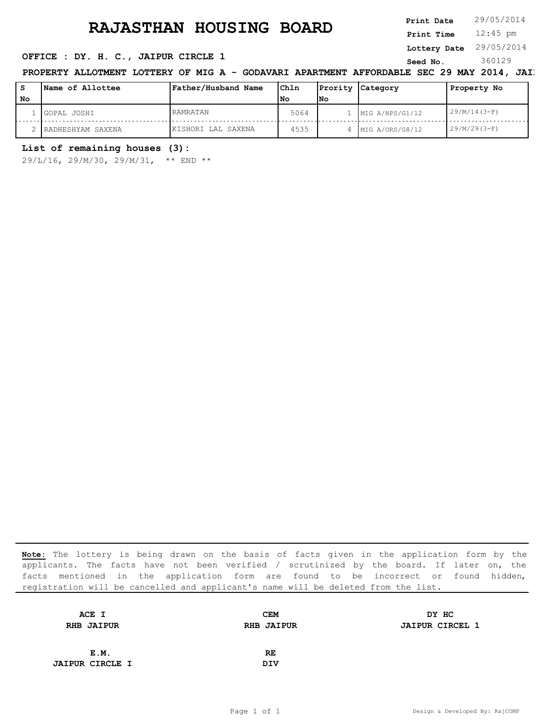**Print Date**

12:45 pm **Print Time**

**Lottery Date** 29/05/2014

### **OFFICE : DY. H. C., JAIPUR CIRCLE 1** Seed No. 360129

PROPERTY ALLOTMENT LOTTERY OF MIG A - GODAVARI APARTMENT AFFORDABLE SEC 29 MAY 2014, JAIP

| s  | Name of Allottee  | Father/Husband Name | Ch1n |            | Prority Category | Property No    |
|----|-------------------|---------------------|------|------------|------------------|----------------|
| No |                   |                     | l No | <b>INo</b> |                  |                |
|    | GOPAL JOSHI       | RAMRATAN            | 5064 |            | MIG A/HPS/G1/12  | $29/M/14(3-F)$ |
|    | RADHESHYAM SAXENA | KISHORI LAL SAXENA  | 4535 |            | MIG A/ORS/G8/12  | $29/M/29(3-F)$ |

### **List of remaining houses (3):**

29/L/16, 29/M/30, 29/M/31, \*\* END \*\*

| <b>CEM</b>        | DY HC                  |
|-------------------|------------------------|
| <b>RHB JAIPUR</b> | <b>JAIPUR CIRCEL 1</b> |
|                   |                        |
| RE                |                        |
| <b>DIV</b>        |                        |
|                   |                        |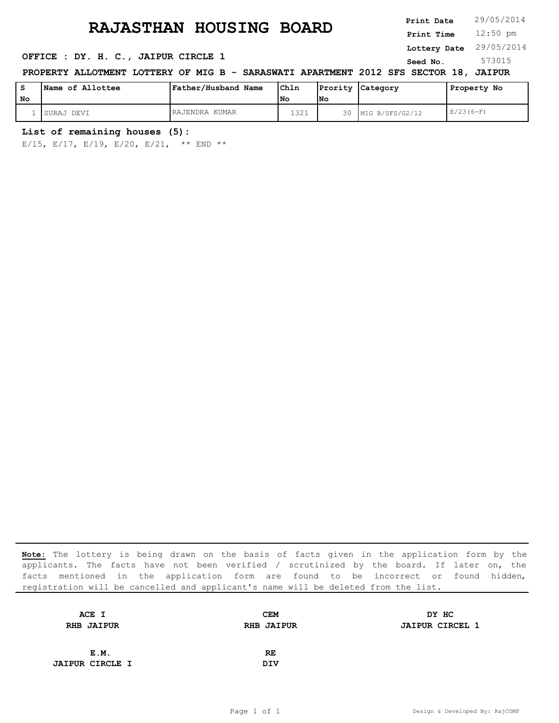# **RAJASTHAN HOUSING BOARD** Print Date 29/05/2014

**OFFICE : DY. H. C., JAIPUR CIRCLE 1** Seed No. 573015

12:50 pm **Print Time Print Date Lottery Date** 29/05/2014

# **PROPERTY ALLOTMENT LOTTERY OF MIG B - SARASWATI APARTMENT 2012 SFS SECTOR 18, JAIPUR**

| No | <b>Name of Allottee</b> | <b>Father/Husband Name</b> | Ch1n<br>l No | lNo | Prority Category   | Property No |
|----|-------------------------|----------------------------|--------------|-----|--------------------|-------------|
|    | ISURAJ DEVI             | RAJENDRA KUMAR             | 1321         |     | 30 MIG B/SFS/G2/12 | $E/23(6-F)$ |

#### **List of remaining houses (5):**

E/15, E/17, E/19, E/20, E/21, \*\* END \*\*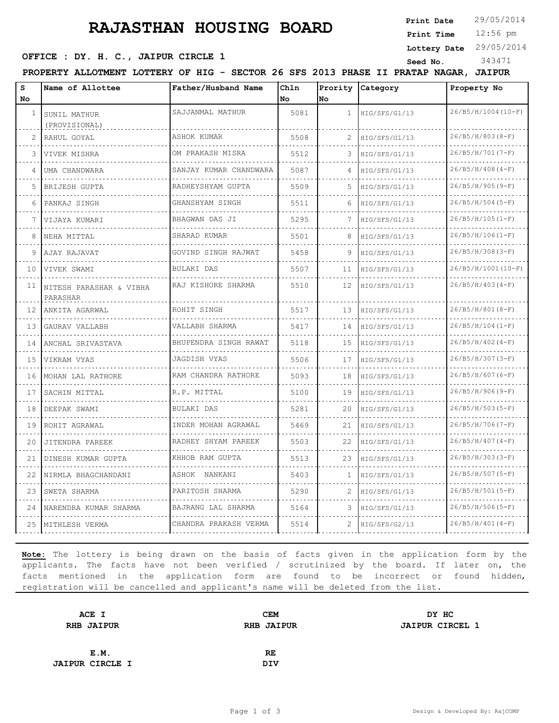**Print Date**

### **SERICE : DY. H. C., JAIPUR CIRCLE 1 Seed No.** 343471

12:56 pm **Print Time**

**Lottery Date** 29/05/2014

**PROPERTY ALLOTMENT LOTTERY OF HIG - SECTOR 26 SFS 2013 PHASE II PRATAP NAGAR, JAIPUR**

| s<br>No.        | Name of Allottee                    | Father/Husband Name    | Chln<br>No. | Prority<br>Νo     | Category      | Property No         |
|-----------------|-------------------------------------|------------------------|-------------|-------------------|---------------|---------------------|
| $\mathbf{1}$    | SUNIL MATHUR<br>(PROVISIONAL)       | SAJJANMAL MATHUR       | 5081        | $\mathbf{1}$      | HIG/SFS/G1/13 | 26/B5/H/1004(10-F)  |
| 2               | RAHUL GOYAL                         | ASHOK KUMAR<br>.       | 5508        | 2                 | HIG/SFS/G1/13 | $26/B5/H/803(B-F)$  |
|                 | VIVEK MISHRA                        | OM PRAKASH MISRA       | 5512        | 3                 | HIG/SFS/G1/13 | $26/B5/H/701(T-F)$  |
| 4               | UMA CHANDWARA                       | SANJAY KUMAR CHANDWARA | 5087        | 4                 | HIG/SFS/G1/13 | $26/B5/H/408(4-F)$  |
| 5               | <b>BRIJESH GUPTA</b>                | RADHEYSHYAM GUPTA      | 5509        | 5                 | HIG/SFS/G1/13 | $26/B5/H/905(9-F)$  |
| 6               | PANKAJ SINGH                        | GHANSHYAM SINGH        | 5511        | 6                 | HIG/SFS/G1/13 | $26/B5/H/504$ (5-F) |
| 7               | VIJAYA KUMARI                       | BHAGWAN DAS JI         | 5295        | 7                 | HIG/SFS/G1/13 | $26/B5/H/105(I-F)$  |
| 8               | NEHA MITTAL                         | SHARAD KUMAR           | 5501        | 8                 | HIG/SFS/G1/13 | $26/B5/H/106(I-F)$  |
| 9               | AJAY RAJAVAT                        | GOVIND SINGH RAJWAT    | 5458        | 9                 | HIG/SFS/G1/13 | $26/B5/H/308(B-F)$  |
| 10              | VIVEK SWAMI                         | BULAKI DAS             | 5507        | 11                | HIG/SFS/G1/13 | 26/B5/H/1001(10-F)  |
| 11              | NITESH PARASHAR & VIBHA<br>PARASHAR | RAJ KISHORE SHARMA     | 5510        | $12 \overline{ }$ | HIG/SFS/G1/13 | $26/B5/H/403(4-F)$  |
| 12 <sup>°</sup> | ANKITA AGARWAL                      | ROHIT SINGH            | 5517        | 13                | HIG/SFS/G1/13 | $26/B5/H/801(8-F)$  |
| 13              | GAURAV VALLABH                      | VALLABH SHARMA         | 5417        | 14                | HIG/SFS/G1/13 | $26/B5/H/104(I-F)$  |
| 14              | ANCHAL SRIVASTAVA                   | BHUPENDRA SINGH RAWAT  | 5118        | 15                | HIG/SFS/G1/13 | $26/B5/H/402(4-F)$  |
| 15              | VIKRAM VYAS                         | JAGDISH VYAS           | 5506        | 17                | HIG/SFS/G1/13 | $26/B5/H/307(S-F)$  |
| 16              | MOHAN LAL RATHORE                   | RAM CHANDRA RATHORE    | 5093        | 18                | HIG/SFS/G1/13 | $26/B5/H/607(6-F)$  |
| 17              | SACHIN MITTAL                       | R.P. MITTAL            | 5100        | 19                | HIG/SFS/G1/13 | $26/B5/H/906(9-F)$  |
| 18              | DEEPAK SWAMI                        | BULAKI DAS             | 5281        | 20                | HIG/SFS/G1/13 | $26/B5/H/503(S-F)$  |
| 19              | ROHIT AGRAWAL                       | INDER MOHAN AGRAWAL    | 5469        | 21                | HIG/SFS/G1/13 | $26/B5/H/706(T-F)$  |
| 20              | JITENDRA PAREEK                     | RADHEY SHYAM PAREEK    | 5503        | 22                | HIG/SFS/G1/13 | $26/B5/H/407(4-F)$  |
| 21              | DINESH KUMAR GUPTA                  | KHHOB RAM GUPTA        | 5513        | 23                | HIG/SFS/G1/13 | $26/B5/H/303(3-F)$  |
| 22              | NIRMLA BHAGCHANDANI                 | ASHOK NANKANI          | 5403        | 1                 | HIG/SFS/G1/13 | $26/B5/H/507(S-F)$  |
| 23              | SWETA SHARMA                        | PARITOSH SHARMA        | 5290        | 2                 | HIG/SFS/G1/13 | $26/B5/H/501(S-F)$  |
| 24              | NARENDRA KUMAR SHARMA               | BAJRANG LAL SHARMA     | 5164        | 3                 | HIG/SFS/G1/13 | $26/B5/H/506(S-F)$  |
| 25              | MITHLESH VERMA                      | CHANDRA PRAKASH VERMA  | 5514        | 2                 | HIG/SFS/G2/13 | $26/B5/H/401(4-F)$  |

| ACE I                  | CEM               | DY HC                  |
|------------------------|-------------------|------------------------|
| <b>RHB JAIPUR</b>      | <b>RHB JAIPUR</b> | <b>JAIPUR CIRCEL 1</b> |
|                        |                   |                        |
| E.M.                   | RE                |                        |
| <b>JAIPUR CIRCLE I</b> | DIV               |                        |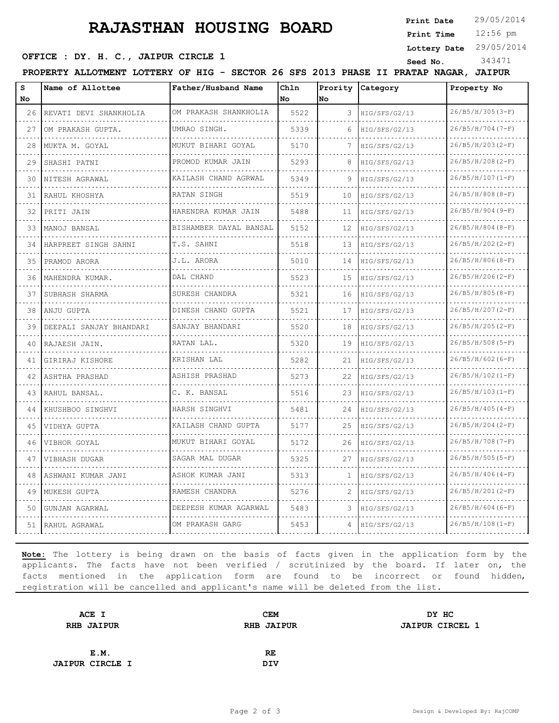**Print Date**  $29/05/2014$ 

### **SERICE : DY. H. C., JAIPUR CIRCLE 1 Seed No.** 343471

12:56 pm **Print Time**

**Lottery Date** 29/05/2014

**PROPERTY ALLOTMENT LOTTERY OF HIG - SECTOR 26 SFS 2013 PHASE II PRATAP NAGAR, JAIPUR**

| s<br>No | Name of Allottee        | Father/Husband Name       | Chln<br>No. | No | Prority Category | Property No        |
|---------|-------------------------|---------------------------|-------------|----|------------------|--------------------|
| 26      | REVATI DEVI SHANKHOLIA  | OM PRAKASH SHANKHOLIA     | 5522        | 3  | HIG/SFS/G2/13    | $26/B5/H/305(B-F)$ |
| 27      | OM PRAKASH GUPTA.       | UMRAO SINGH.              | 5339        | 6  | HIG/SFS/G2/13    | $26/B5/H/704(T-F)$ |
| 28      | MUKTA M. GOYAL          | MUKUT BIHARI GOYAL        | 5170        | 7  | HIG/SFS/G2/13    | $26/B5/H/203(2-F)$ |
| 29      | SHASHI PATNI            | .<br>PROMOD KUMAR JAIN    | 5293        | 8  | HIG/SFS/G2/13    | $26/B5/H/208(2-F)$ |
| 30      | NITESH AGRAWAL          | .<br>KAILASH CHAND AGRWAL | 5349        | 9  | HIG/SFS/G2/13    | $26/B5/H/107(I-F)$ |
| 31      | RAHUL KHOSHYA           | RATAN SINGH               | 5519        | 10 | HIG/SFS/G2/13    | $26/B5/H/808(B-F)$ |
| 32      | PRITI JAIN              | HARENDRA KUMAR JAIN       | 5488        | 11 | HIG/SFS/G2/13    | $26/B5/H/904(9-F)$ |
| 33      | MANOJ BANSAL            | BISHAMBER DAYAL BANSAL    | 5152        | 12 | HIG/SFS/G2/13    | $26/B5/H/804(B-F)$ |
| 34      | HARPREET SINGH SAHNI    | T.S. SAHNI                | 5518        | 13 | HIG/SFS/G2/13    | 26/B5/H/202(2-F)   |
| 35      | PRAMOD ARORA            | J.L. ARORA                | 5010        | 14 | HIG/SFS/G2/13    | $26/B5/H/806(B-F)$ |
| 36      | MAHENDRA KUMAR.         | DAL CHAND                 | 5523        | 15 | HIG/SFS/G2/13    | $26/B5/H/206(2-F)$ |
| 37      | SUBHASH SHARMA          | SURESH CHANDRA            | 5321        | 16 | HIG/SFS/G2/13    | $26/B5/H/805(B-F)$ |
| 38      | ANJU GUPTA              | DINESH CHAND GUPTA        | 5521        | 17 | HIG/SFS/G2/13    | $26/B5/H/207(2-F)$ |
| 39      | DEEPALI SANJAY BHANDARI | SANJAY BHANDARI           | 5520        | 18 | HIG/SFS/G2/13    | $26/B5/H/205(2-F)$ |
| 40      | RAJAESH JAIN.           | RATAN LAL.                | 5320        | 19 | HIG/SFS/G2/13    | $26/B5/H/508(S-F)$ |
| 41      | GIRIRAJ KISHORE         | KRISHAN LAL               | 5282        | 21 | HIG/SFS/G2/13    | $26/B5/H/602(6-F)$ |
| 42      | ASHTHA PRASHAD          | ASHISH PRASHAD            | 5273        | 22 | HIG/SFS/G2/13    | $26/B5/H/102(I-F)$ |
| 43      | RAHUL BANSAL.           | C. K. BANSAL              | 5516        | 23 | HIG/SFS/G2/13    | $26/B5/H/103(I-F)$ |
| 44      | KHUSHBOO SINGHVI        | HARSH SINGHVI             | 5481        | 24 | HIG/SFS/G2/13    | $26/B5/H/405(4-F)$ |
| 45      | VIDHYA GUPTA            | KAILASH CHAND GUPTA       | 5177        | 25 | HIG/SFS/G2/13    | $26/B5/H/204(2-F)$ |
| 46      | VIBHOR GOYAL            | MUKUT BIHARI GOYAL        | 5172        | 26 | HIG/SFS/G2/13    | $26/B5/H/708(T-F)$ |
| 47      | VIBHASH DUGAR           | SAGAR MAL DUGAR           | 5325        | 27 | HIG/SFS/G2/13    | $26/B5/H/505(S-F)$ |
| 48      | ASHWANI KUMAR JANI      | ASHOK KUMAR JANI          | 5313        | 1. | HIG/SFS/G2/13    | $26/B5/H/406(4-F)$ |
| 49      | MUKESH GUPTA            | RAMESH CHANDRA            | 5276        | 2  | HIG/SFS/G2/13    | 26/B5/H/201(2-F)   |
| 50      | GUNJAN AGARWAL          | DEEPESH KUMAR AGARWAL     | 5483        | 3  | HIG/SFS/G2/13    | $26/B5/H/604(6-F)$ |
| 51      | RAHUL AGRAWAL           | OM PRAKASH GARG           | 5453        | 4  | HIG/SFS/G2/13    | $26/B5/H/108(I-F)$ |

| ACE I                  | CEM               | DY HC                  |
|------------------------|-------------------|------------------------|
| <b>RHB JAIPUR</b>      | <b>RHB JAIPUR</b> | <b>JAIPUR CIRCEL 1</b> |
|                        |                   |                        |
| E.M.                   | RE                |                        |
| <b>JAIPUR CIRCLE I</b> | DIV               |                        |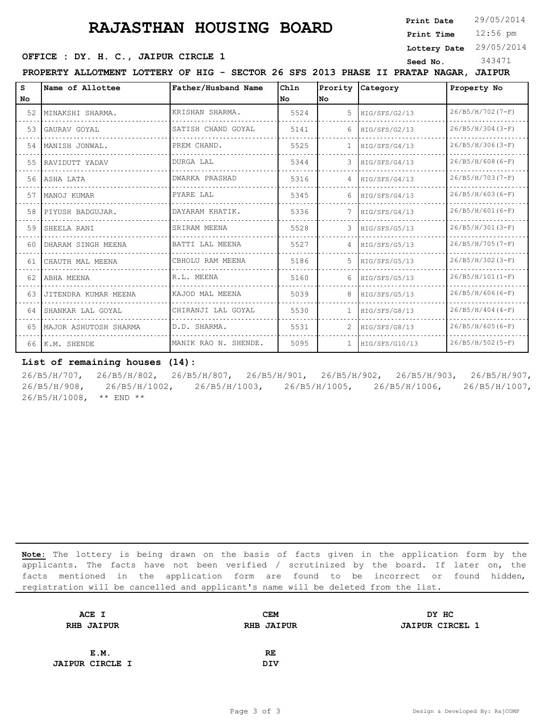**Print Date**  $29/05/2014$ 

12:56 pm **Print Time**

**SERICE : DY. H. C., JAIPUR CIRCLE 1 Seed No.** 343471

**Lottery Date** 29/05/2014

**PROPERTY ALLOTMENT LOTTERY OF HIG - SECTOR 26 SFS 2013 PHASE II PRATAP NAGAR, JAIPUR**

| s   | Name of Allottee      | Father/Husband Name  | Chln | Prority | Category       | Property No        |
|-----|-----------------------|----------------------|------|---------|----------------|--------------------|
| No. |                       |                      | No.  | lNo.    |                |                    |
| 52  | MINAKSHI SHARMA.      | KRISHAN SHARMA.      | 5524 | 5       | HIG/SFS/G2/13  | 26/B5/H/702(7-F)   |
| 53  | GAURAV GOYAL          | SATISH CHAND GOYAL   | 5141 | 6       | HIG/SFS/G2/13  | $26/B5/H/304(3-F)$ |
| 54  | MANISH JONWAL.        | PREM CHAND.          | 5525 |         | HIG/SFS/G4/13  | $26/B5/H/306(3-F)$ |
| 55  | RAVIDUTT YADAV        | DURGA LAL            | 5344 | 3       | HIG/SFS/G4/13  | $26/B5/H/608(G-F)$ |
| 56  | ASHA LATA             | DWARKA PRASHAD       | 5316 | 4       | HIG/SFS/G4/13  | $26/B5/H/703(T-F)$ |
| 57  | MANOJ KUMAR           | PYARE LAL            | 5345 | 6       | HIG/SFS/G4/13  | $26/B5/H/603(6-F)$ |
| 58  | PIYUSH BADGUJAR.      | DAYARAM KHATIK.      | 5336 |         | HIG/SFS/G4/13  | $26/B5/H/601(6-F)$ |
| 59  | SHEELA RANI           | SRIRAM MEENA         | 5528 | 3       | HIG/SFS/G5/13  | $26/B5/H/301(3-F)$ |
| 60. | DHARAM SINGH MEENA    | BATTI LAL MEENA      | 5527 |         | HIG/SFS/G5/13  | $26/B5/H/705(T-F)$ |
| 61  | CHAUTH MAL MEENA      | CBHOLU RAM MEENA     | 5186 | 5       | HIG/SFS/G5/13  | $26/B5/H/302(3-F)$ |
| 62  | ABHA MEENA            | R.L. MEENA           | 5160 | 6       | HIG/SFS/G5/13  | $26/B5/H/101(I-F)$ |
| 63. | JITENDRA KUMAR MEENA  | KAJOD MAL MEENA      | 5039 | 8       | HIG/SFS/G5/13  | $26/B5/H/606(G-F)$ |
| 64  | SHANKAR LAL GOYAL     | CHIRANJI LAL GOYAL   | 5530 |         | HIG/SFS/G8/13  | $26/B5/H/404(4-F)$ |
| 65  | MAJOR ASHUTOSH SHARMA | D.D. SHARMA.         | 5531 | 2       | HIG/SFS/G8/13  | $26/B5/H/605(G-F)$ |
|     | 66 K.M. SHENDE        | MANIK RAO N. SHENDE. | 5095 |         | HIG/SFS/G10/13 | 26/B5/H/502(5-F)   |

### **List of remaining houses (14):**

26/B5/H/707, 26/B5/H/802, 26/B5/H/807, 26/B5/H/901, 26/B5/H/902, 26/B5/H/903, 26/B5/H/907, 26/B5/H/908, 26/B5/H/1002, 26/B5/H/1003, 26/B5/H/1005, 26/B5/H/1006, 26/B5/H/1007, 26/B5/H/1008, \*\* END \*\*

| ACE I                  | <b>CEM</b>        | DY HC                  |
|------------------------|-------------------|------------------------|
| <b>RHB JAIPUR</b>      | <b>RHB JAIPUR</b> | <b>JAIPUR CIRCEL 1</b> |
| E.M.                   | RE                |                        |
|                        |                   |                        |
| <b>JAIPUR CIRCLE I</b> | <b>DIV</b>        |                        |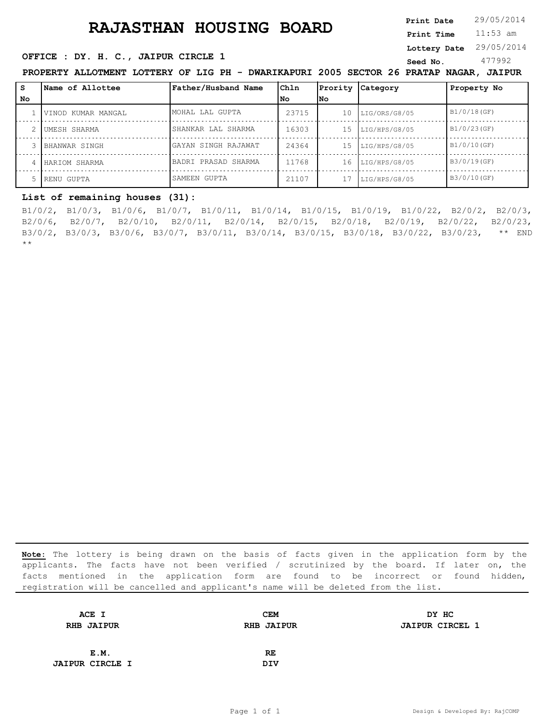# **RAJASTHAN HOUSING BOARD** Print Date 29/05/2014

11:53 am **Print Date Print Time**

### **OFFICE : DY. H. C., JAIPUR CIRCLE 1** Seed No. 477992

**Lottery Date** 29/05/2014

**PROPERTY ALLOTMENT LOTTERY OF LIG PH - DWARIKAPURI 2005 SECTOR 26 PRATAP NAGAR, JAIPUR**

| s  | <b>Name of Allottee</b> | Father/Husband Name | Ch1n  | Prority         | Category      | Property No |
|----|-------------------------|---------------------|-------|-----------------|---------------|-------------|
| No |                         |                     | l No  | lNo.            |               |             |
|    | VINOD KUMAR MANGAL      | MOHAL LAL GUPTA     | 23715 | 10              | LIG/ORS/G8/05 | B1/0/18(GF) |
|    | UMESH SHARMA            | SHANKAR LAL SHARMA  | 16303 | 1.5             | LIG/HPS/G8/05 | B1/0/23(GF) |
|    | BHANWAR SINGH           | GAYAN SINGH RAJAWAT | 24364 | 15 <sub>1</sub> | LIG/HPS/G8/05 | B1/0/10(GF) |
|    | HARIOM SHARMA           | BADRI PRASAD SHARMA | 11768 | 16              | LIG/HPS/G8/05 | B3/0/19(GF) |
|    | RENU GUPTA              | SAMEEN GUPTA        | 21107 |                 | LIG/HPS/G8/05 | B3/0/10(GF) |

B1/0/2, B1/0/3, B1/0/6, B1/0/7, B1/0/11, B1/0/14, B1/0/15, B1/0/19, B1/0/22, B2/0/2, B2/0/3, B2/0/6, B2/0/7, B2/0/10, B2/0/11, B2/0/14, B2/0/15, B2/0/18, B2/0/19, B2/0/22, B2/0/23, B3/0/2, B3/0/3, B3/0/6, B3/0/7, B3/0/11, B3/0/14, B3/0/15, B3/0/18, B3/0/22, B3/0/23, \*\* END **List of remaining houses (31):**<br>
B1/0/2, B1/0/3, B1/0/6, B1/0/7, B1/0/11, B1/0/14, B1<br>
B2/0/6, B2/0/7, B2/0/10, B2/0/11, B2/0/14, B2/0/15<br>
B3/0/2, B3/0/3, B3/0/6, B3/0/7, B3/0/11, B3/0/14, B3/0<br>
\*\*

| ACE I                  | <b>CEM</b>        | DY HC                  |
|------------------------|-------------------|------------------------|
| <b>RHB JAIPUR</b>      | <b>RHB JAIPUR</b> | <b>JAIPUR CIRCEL 1</b> |
|                        |                   |                        |
| E.M.                   | RE.               |                        |
| <b>JAIPUR CIRCLE I</b> | <b>DIV</b>        |                        |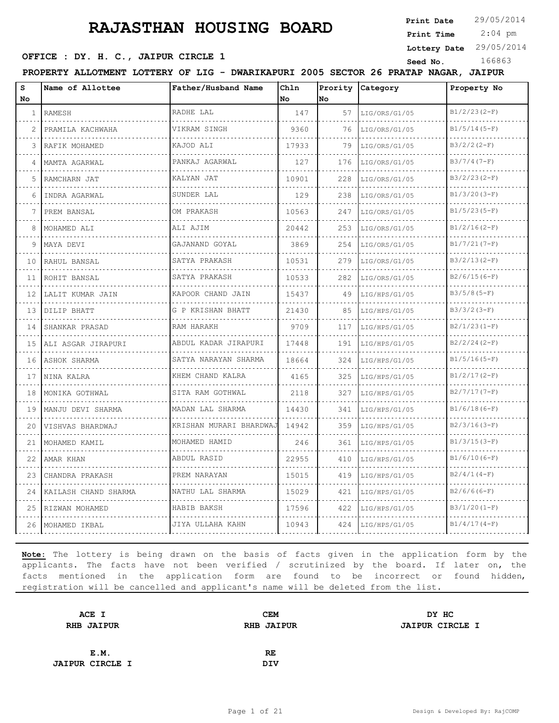**Print Date**

 2:04 pm **Print Time**

**Lottery Date** 29/05/2014

### **SEED OFFICE : DY. H. C., JAIPUR CIRCLE 1** Seed No. 166863

**PROPERTY ALLOTMENT LOTTERY OF LIG - DWARIKAPURI 2005 SECTOR 26 PRATAP NAGAR, JAIPUR**

| s               | Name of Allottee     | Father/Husband Name                     | Ch1n      | Prority | Category      | Property No     |
|-----------------|----------------------|-----------------------------------------|-----------|---------|---------------|-----------------|
| No              |                      |                                         | <b>No</b> | No      |               |                 |
| $\mathbf{1}$    | RAMESH               | RADHE LAL                               | 147       | 57      | LIG/ORS/G1/05 | $B1/2/23(2-F)$  |
| 2.              | PRAMILA KACHWAHA     | VIKRAM SINGH                            | 9360      | 76      | LIG/ORS/G1/05 | $B1/5/14(5-F)$  |
| 3               | RAFIK MOHAMED        | KAJOD ALI                               | 17933     | 79      | LIG/ORS/G1/05 | $B3/2/2(2-F)$   |
| 4               | MAMTA AGARWAL        | PANKAJ AGARWAL                          | 127       | 176     | LIG/ORS/G1/05 | $B3/7/4(7-F)$   |
| 5               | RAMCHARN JAT         | KALYAN JAT                              | 10901     | 228     | LIG/ORS/G1/05 | $B3/2/23(2-F)$  |
| 6               | INDRA AGARWAL        | SUNDER LAL                              | 129       | 238     | LIG/ORS/G1/05 | $B1/3/20 (3-F)$ |
| 7               | PREM BANSAL          | OM PRAKASH                              | 10563     | 247     | LIG/ORS/G1/05 | $B1/5/23(5-F)$  |
| 8               | MOHAMED ALI          | ALI AJIM                                | 20442     | 253     | LIG/ORS/G1/05 | $B1/2/16(2-F)$  |
| 9               | MAYA DEVI            | GAJANAND GOYAL                          | 3869      | 254     | LIG/ORS/G1/05 | $B1/7/21(7-F)$  |
| 10              | RAHUL BANSAL         | SATYA PRAKASH<br>.                      | 10531     | 279     | LIG/ORS/G1/05 | $B3/2/13(2-F)$  |
| 11              | ROHIT BANSAL         | SATYA PRAKASH                           | 10533     | 282     | LIG/ORS/G1/05 | $B2/6/15(6-F)$  |
| 12 <sup>°</sup> | LALIT KUMAR JAIN     | KAPOOR CHAND JAIN                       | 15437     | 49      | LIG/HPS/G1/05 | $B3/5/8(5-F)$   |
| 13              | DILIP BHATT          | G P KRISHAN BHATT                       | 21430     | 85      | LIG/HPS/G1/05 | $B3/3/2 (3-F)$  |
| 14              | SHANKAR PRASAD       | RAM HARAKH                              | 9709      | 117     | LIG/HPS/G1/05 | $B2/1/23(1-F)$  |
| 15              | ALI ASGAR JIRAPURI   | ABDUL KADAR JIRAPURI                    | 17448     | 191     | LIG/HPS/G1/05 | $B2/2/24(2-F)$  |
| 16              | ASHOK SHARMA         | SATYA NARAYAN SHARMA<br>.               | 18664     | 324     | LIG/HPS/G1/05 | $B1/5/16(5-F)$  |
| 17              | NINA KALRA           | KHEM CHAND KALRA<br>dia dia dia dia dia | 4165      | 325     | LIG/HPS/G1/05 | $B1/2/17(2-F)$  |
| 18              | MONIKA GOTHWAL       | SITA RAM GOTHWAL                        | 2118      | 327     | LIG/HPS/G1/05 | $B2/7/17(7-F)$  |
| 19              | MANJU DEVI SHARMA    | MADAN LAL SHARMA<br>.                   | 14430     | 341     | LIG/HPS/G1/05 | $B1/6/18(6-F)$  |
| 20              | VISHVAS BHARDWAJ     | KRISHAN MURARI BHARDWAJ                 | 14942     | 359     | LIG/HPS/G1/05 | $B2/3/16(3-F)$  |
| 21              | MOHAMED KAMIL        | MOHAMED HAMID                           | 246       | 361     | LIG/HPS/G1/05 | $B1/3/15(3-F)$  |
| 22              | AMAR KHAN            | ABDUL RASID                             | 22955     | 410     | LIG/HPS/G1/05 | $B1/6/10(6-F)$  |
| 23              | CHANDRA PRAKASH      | PREM NARAYAN                            | 15015     | 419     | LIG/HPS/G1/05 | $B2/4/1(4-F)$   |
| 24              | KAILASH CHAND SHARMA | NATHU LAL SHARMA                        | 15029     | 421     | LIG/HPS/G1/05 | $B2/6/6(6-F)$   |
| 25              | RIZWAN MOHAMED       | HABIB BAKSH                             | 17596     | 422     | LIG/HPS/G1/05 | $B3/1/20(I-F)$  |
| 26              | MOHAMED IKBAL        | JIYA ULLAHA KAHN                        | 10943     | 424     | LIG/HPS/G1/05 | $B1/4/17(4-F)$  |

| ACE I                  | <b>CEM</b>        | DY HC                  |
|------------------------|-------------------|------------------------|
| <b>RHB JAIPUR</b>      | <b>RHB JAIPUR</b> | <b>JAIPUR CIRCLE I</b> |
|                        |                   |                        |
| E.M.                   | RE                |                        |
| <b>JAIPUR CIRCLE I</b> | <b>DIV</b>        |                        |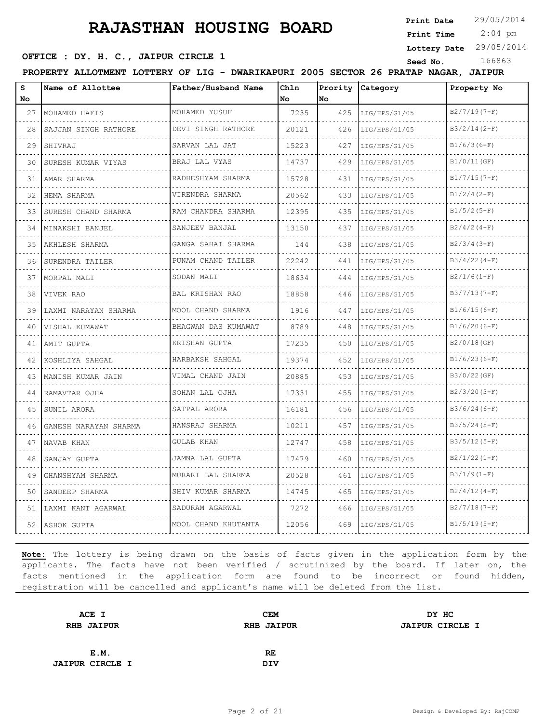**Print Date**  $29/05/2014$ 

 2:04 pm **Print Time**

**Lottery Date** 29/05/2014

# **SEED OFFICE : DY. H. C., JAIPUR CIRCLE 1**<br> **Seed No.** 166863<br> **Seed No.** 166863

|          | PROPERTY ALLOTMENT LOTTERY OF LIG - DWARIKAPURI 2005 SECTOR 26 PRATAP NAGAR, JAIPUR |                          |             |     |                    |                    |
|----------|-------------------------------------------------------------------------------------|--------------------------|-------------|-----|--------------------|--------------------|
| s<br>No. | Name of Allottee                                                                    | Father/Husband Name      | Chln<br>No. | No  | Prority Category   | Property No        |
| 27       | MOHAMED HAFIS                                                                       | MOHAMED YUSUF            | 7235        | 425 | LIG/HPS/G1/05      | $B2/7/19(7-F)$     |
| 28       | SAJJAN SINGH RATHORE                                                                | DEVI SINGH RATHORE       | 20121       | 426 | LIG/HPS/G1/05      | $B3/2/14(2-F)$     |
| 29       | SHIVRAJ                                                                             | .<br>SARVAN LAL JAT      | 15223       | 427 | .<br>LIG/HPS/G1/05 | .<br>$B1/6/3(6-F)$ |
| 30       | SURESH KUMAR VIYAS                                                                  | .<br>BRAJ LAL VYAS       | 14737       | 429 | LIG/HPS/G1/05      | B1/0/11(GF)        |
| 31       | AMAR SHARMA                                                                         | RADHESHYAM SHARMA        | 15728       | 431 | LIG/HPS/G1/05      | $B1/7/15(7-F)$     |
| 32       | HEMA SHARMA                                                                         | .<br>VIRENDRA SHARMA     | 20562       | 433 | .<br>LIG/HPS/G1/05 | $B1/2/4 (2-F)$     |
| 33       | SURESH CHAND SHARMA                                                                 | .<br>RAM CHANDRA SHARMA  | 12395       | 435 | LIG/HPS/G1/05      | $B1/5/2 (5-F)$     |
| 34       | MINAKSHI BANJEL                                                                     | SANJEEV BANJAL<br>.      | 13150       | 437 | LIG/HPS/G1/05      | $B2/4/2(4-F)$      |
| 35       | .<br>AKHLESH SHARMA                                                                 | GANGA SAHAI SHARMA       | 144         | 438 | LIG/HPS/G1/05      | $B2/3/4(3-F)$      |
| 36       | SURENDRA TAILER                                                                     | .<br>PUNAM CHAND TAILER  | 22242       | 441 | LIG/HPS/G1/05      | $B3/4/22(4-F)$     |
| 37       | MORPAL MALI                                                                         | SODAN MALI               | 18634       | 444 | LIG/HPS/G1/05      | $B2/1/6(1-F)$      |
| 38       | IVIVEK RAO                                                                          | BAL KRISHAN RAO          | 18858       | 446 | LIG/HPS/G1/05      | $B3/7/13(7-F)$     |
| 39       | LAXMI NARAYAN SHARMA                                                                | MOOL CHAND SHARMA        | 1916        | 447 | LIG/HPS/G1/05<br>. | $B1/6/15(6-F)$     |
| 40       | VISHAL KUMAWAT                                                                      | BHAGWAN DAS KUMAWAT<br>. | 8789        | 448 | LIG/HPS/G1/05      | $B1/6/20(6-F)$     |
| 41       | AMIT GUPTA                                                                          | KRISHAN GUPTA            | 17235       | 450 | LIG/HPS/G1/05      | B2/0/18(GF)        |
| 42       | KOSHLIYA SAHGAL                                                                     | HARBAKSH SAHGAL<br>.     | 19374       | 452 | LIG/HPS/G1/05      | $B1/6/23(6-F)$     |
| 43       | MANISH KUMAR JAIN                                                                   | VIMAL CHAND JAIN         | 20885       | 453 | LIG/HPS/G1/05      | B3/0/22(GF)        |
| 44       | RAMAVTAR OJHA                                                                       | SOHAN LAL OJHA           | 17331       | 455 | LIG/HPS/G1/05      | $B2/3/20(3-F)$     |
| 45       | SUNIL ARORA                                                                         | SATPAL ARORA             | 16181       | 456 | LIG/HPS/G1/05      | $B3/6/24(6-F)$     |
| 46       | GANESH NARAYAN SHARMA                                                               | HANSRAJ SHARMA           | 10211       | 457 | LIG/HPS/G1/05      | $B3/5/24(5-F)$     |
| 47       | NAVAB KHAN                                                                          | GULAB KHAN               | 12747       | 458 | LIG/HPS/G1/05      | $B3/5/12(5-F)$     |
| 48       | SANJAY GUPTA                                                                        | JAMNA LAL GUPTA          | 17479       | 460 | LIG/HPS/G1/05      | $B2/1/22(1-F)$     |
| 49       | GHANSHYAM SHARMA                                                                    | MURARI LAL SHARMA        | 20528       | 461 | LIG/HPS/G1/05      | $B3/1/9(1-F)$      |
|          | 50 SANDEEP SHARMA                                                                   | SHIV KUMAR SHARMA        | 14745       | 465 | LIG/HPS/G1/05      | $B2/4/12(4-F)$     |
|          | 51   LAXMI KANT AGARWAL                                                             | SADURAM AGARWAL          | 7272        | 466 | LIG/HPS/G1/05      | $B2/7/18(7-F)$     |
| 52       | ASHOK GUPTA                                                                         | MOOL CHAND KHUTANTA      | 12056       | 469 | LIG/HPS/G1/05      | $B1/5/19(5-F)$     |
|          |                                                                                     |                          |             |     |                    |                    |

| ACE I                  | <b>CEM</b>        | DY HC                  |
|------------------------|-------------------|------------------------|
| <b>RHB JAIPUR</b>      | <b>RHB JAIPUR</b> | <b>JAIPUR CIRCLE I</b> |
|                        |                   |                        |
| E.M.                   | RE                |                        |
| <b>JAIPUR CIRCLE I</b> | <b>DIV</b>        |                        |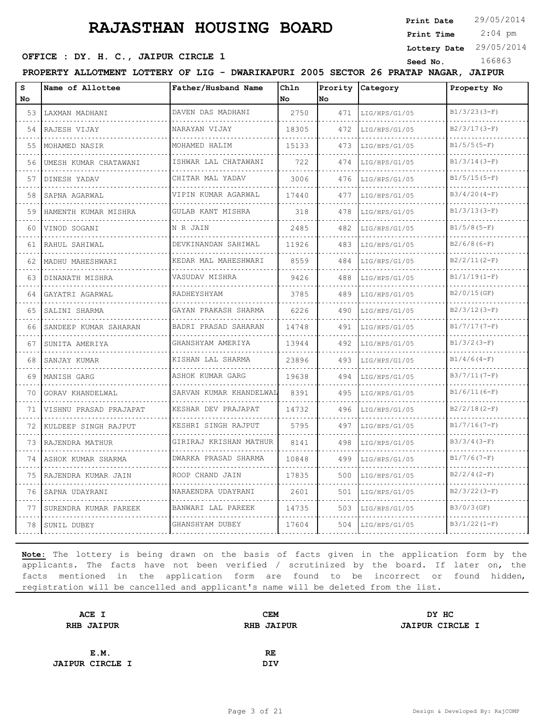**Print Date**

 2:04 pm **Print Time**

**Lottery Date** 29/05/2014

# **OFFICE : DY. H. C., JAIPUR CIRCLE 1** Seed No. 166863

| s<br>No | Name of Allottee       | Father/Husband Name       | Ch1n<br>No | Prority<br>No. | Category      | Property No    |
|---------|------------------------|---------------------------|------------|----------------|---------------|----------------|
| 53      | LAXMAN MADHANI         | DAVEN DAS MADHANI         | 2750       | 471            | LIG/HPS/G1/05 | $B1/3/23(3-F)$ |
| 54      | RAJESH VIJAY           | NARAYAN VIJAY             | 18305      | 472            | LIG/HPS/G1/05 | $B2/3/17(3-F)$ |
| 55      | MOHAMED NASIR          | MOHAMED HALIM             | 15133      | 473            | LIG/HPS/G1/05 | $B1/5/5(5-F)$  |
| 56      | UMESH KUMAR CHATAWANI  | ISHWAR LAL CHATAWANI<br>. | 722        | 474            | LIG/HPS/G1/05 | $B1/3/14(3-F)$ |
| 57      | DINESH YADAV           | CHITAR MAL YADAV<br>.     | 3006       | 476            | LIG/HPS/G1/05 | $B1/5/15(5-F)$ |
| 58      | SAPNA AGARWAL          | VIPIN KUMAR AGARWAL       | 17440      | 477            | LIG/HPS/G1/05 | $B3/4/20(4-F)$ |
| 59      | HAMENTH KUMAR MISHRA   | GULAB KANT MISHRA         | 318        | 478            | LIG/HPS/G1/05 | $B1/3/13(3-F)$ |
| 60      | VINOD SOGANI           | N R JAIN                  | 2485       | 482            | LIG/HPS/G1/05 | $B1/5/8(5-F)$  |
| 61      | RAHUL SAHIWAL          | DEVKINANDAN SAHIWAL       | 11926      | 483            | LIG/HPS/G1/05 | $B2/6/8(6-F)$  |
| 62      | MADHU MAHESHWARI       | KEDAR MAL MAHESHWARI      | 8559       | 484            | LIG/HPS/G1/05 | $B2/2/11(2-F)$ |
| 63      | DINANATH MISHRA        | VASUDAV MISHRA            | 9426       | 488            | LIG/HPS/G1/05 | $B1/1/19(1-F)$ |
| 64      | GAYATRI AGARWAL        | RADHEYSHYAM               | 3785       | 489            | LIG/HPS/G1/05 | B2/0/15(GF)    |
| 65      | SALINI SHARMA          | GAYAN PRAKASH SHARMA<br>. | 6226       | 490            | LIG/HPS/G1/05 | $B2/3/12(3-F)$ |
| 66      | SANDEEP KUMAR SAHARAN  | BADRI PRASAD SAHARAN      | 14748      | 491            | LIG/HPS/G1/05 | $B1/7/17(7-F)$ |
| 67      | SUNITA AMERIYA         | GHANSHYAM AMERIYA         | 13944      | 492            | LIG/HPS/G1/05 | $B1/3/2 (3-F)$ |
| 68      | SANJAY KUMAR           | KISHAN LAL SHARMA         | 23896      | 493            | LIG/HPS/G1/05 | $B1/4/6(4-F)$  |
| 69      | MANISH GARG            | ASHOK KUMAR GARG          | 19638      | 494            | LIG/HPS/G1/05 | $B3/7/11(7-F)$ |
| 70      | GORAV KHANDELWAL       | SARVAN KUMAR KHANDELWAL   | 8391       | 495            | LIG/HPS/G1/05 | $B1/6/11(6-F)$ |
| 71      | VISHNU PRASAD PRAJAPAT | KESHAR DEV PRAJAPAT       | 14732      | 496            | LIG/HPS/G1/05 | $B2/2/18(2-F)$ |
| 72      | KULDEEP SINGH RAJPUT   | KESHRI SINGH RAJPUT       | 5795       | 497            | LIG/HPS/G1/05 | $B1/7/16(7-F)$ |
| 73      | RAJENDRA MATHUR        | GIRIRAJ KRISHAN MATHUR    | 8141       | 498            | LIG/HPS/G1/05 | $B3/3/4(3-F)$  |
| 74      | ASHOK KUMAR SHARMA     | DWARKA PRASAD SHARMA      | 10848      | 499            | LIG/HPS/G1/05 | $B1/7/6(7-F)$  |
| 75      | RAJENDRA KUMAR JAIN    | ROOP CHAND JAIN           | 17835      | 500            | LIG/HPS/G1/05 | $B2/2/4(2-F)$  |
| 76      | SAPNA UDAYRANI         | NARAENDRA UDAYRANI        | 2601       | 501            | LIG/HPS/G1/05 | $B2/3/22(3-F)$ |
| 77      | SURENDRA KUMAR PAREEK  | BANWARI LAL PAREEK        | 14735      | 503            | LIG/HPS/G1/05 | B3/0/3(GF)     |
| 78      | SUNIL DUBEY            | GHANSHYAM DUBEY           | 17604      | 504            | LIG/HPS/G1/05 | $B3/1/22(1-F)$ |

| ACE I                  | <b>CEM</b>        | DY HC                  |
|------------------------|-------------------|------------------------|
| <b>RHB JAIPUR</b>      | <b>RHB JAIPUR</b> | <b>JAIPUR CIRCLE I</b> |
|                        |                   |                        |
| E.M.                   | RE                |                        |
| <b>JAIPUR CIRCLE I</b> | <b>DIV</b>        |                        |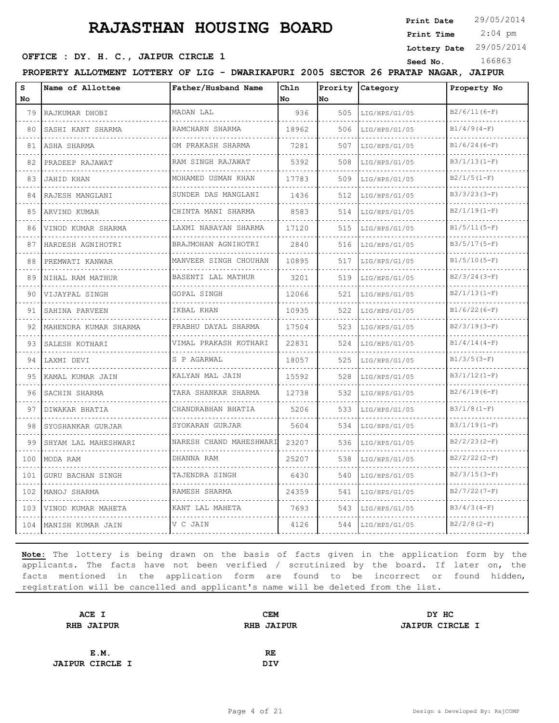**Print Date**

 2:04 pm **Print Time**

**Lottery Date** 29/05/2014

### **OFFICE : DY. H. C., JAIPUR CIRCLE 1** Seed No. 166863

**PROPERTY ALLOTMENT LOTTERY OF LIG - DWARIKAPURI 2005 SECTOR 26 PRATAP NAGAR, JAIPUR**

| S<br>No | Name of Allottee         | Father/Husband Name            | Chln<br>No | Prority<br>No | <b>Category</b> | Property No    |
|---------|--------------------------|--------------------------------|------------|---------------|-----------------|----------------|
| 79      | RAJKUMAR DHOBI           | MADAN LAL                      | 936        | 505           | LIG/HPS/G1/05   | $B2/6/11(6-F)$ |
| 80      | SASHI KANT SHARMA        | RAMCHARN SHARMA                | 18962      | 506           | LIG/HPS/G1/05   | $B1/4/9(4-F)$  |
| 81      | ASHA SHARMA              | OM PRAKASH SHARMA              | 7281       | 507           | LIG/HPS/G1/05   | $B1/6/24(6-F)$ |
| 82      | .<br>PRADEEP RAJAWAT     | .<br>RAM SINGH RAJAWAT         | 5392       | 508           | LIG/HPS/G1/05   | $B3/1/13(1-F)$ |
| 83      | <b>JAHID KHAN</b>        | MOHAMED USMAN KHAN             | 17783      | 509           | LIG/HPS/G1/05   | $B2/1/5(1-F)$  |
| 84      | RAJESH MANGLANI          | SUNDER DAS MANGLANI<br>.       | 1436       | 512           | LIG/HPS/G1/05   | $B3/3/23(3-F)$ |
| 85      | ARVIND KUMAR             | CHINTA MANI SHARMA             | 8583       | 514           | LIG/HPS/G1/05   | $B2/1/19(1-F)$ |
| 86      | VINOD KUMAR SHARMA       | LAXMI NARAYAN SHARMA           | 17120      | 515           | LIG/HPS/G1/05   | $B1/5/11(5-F)$ |
| 87      | HARDESH AGNIHOTRI        | BRAJMOHAN AGNIHOTRI<br>.       | 2840       | 516           | LIG/HPS/G1/05   | $B3/5/17(5-F)$ |
| 88      | PREMWATI KANWAR          | MANVEER SINGH CHOUHAN          | 10895      | 517           | LIG/HPS/G1/05   | $B1/5/10(5-F)$ |
| 89      | NIHAL RAM MATHUR         | BASENTI LAL MATHUR             | 3201       | 519           | LIG/HPS/G1/05   | $B2/3/24(3-F)$ |
| 90      | VIJAYPAL SINGH           | GOPAL SINGH                    | 12066      | 521           | LIG/HPS/G1/05   | $B2/1/13(1-F)$ |
| 91      | SAHINA PARVEEN           | IKBAL KHAN                     | 10935      | 522           | LIG/HPS/G1/05   | $B1/6/22(6-F)$ |
| 92      | MAHENDRA KUMAR SHARMA    | PRABHU DAYAL SHARMA            | 17504      | 523           | LIG/HPS/G1/05   | $B2/3/19(3-F)$ |
| 93      | SALESH KOTHARI           | VIMAL PRAKASH KOTHARI          | 22831      | 524           | LIG/HPS/G1/05   | $B1/4/14(4-F)$ |
| 94      | LAXMI DEVI               | S P AGARWAL<br>.               | 18057      | 525           | LIG/HPS/G1/05   | $B1/3/5 (3-F)$ |
| 95      | KAMAL KUMAR JAIN         | KALYAN MAL JAIN                | 15592      | 528           | LIG/HPS/G1/05   | $B3/1/12(1-F)$ |
| 96      | SACHIN SHARMA            | TARA SHANKAR SHARMA            | 12738      | 532           | LIG/HPS/G1/05   | $B2/6/19(6-F)$ |
| 97      | DIWAKAR BHATIA           | CHANDRABHAN BHATIA<br><u>.</u> | 5206       | 533           | LIG/HPS/G1/05   | $B3/1/8(1-F)$  |
| 98      | SYOSHANKAR GURJAR        | SYOKARAN GURJAR                | 5604       | 534           | LIG/HPS/G1/05   | $B3/1/19(1-F)$ |
| 99      | SHYAM LAL MAHESHWARI     | NARESH CHAND MAHESHWARI        | 23207      | 536           | LIG/HPS/G1/05   | $B2/2/23(2-F)$ |
| 100     | MODA RAM                 | DHANNA RAM                     | 25207      | 538           | LIG/HPS/G1/05   | $B2/2/22(2-F)$ |
| 101     | <b>GURU BACHAN SINGH</b> | TAJENDRA SINGH                 | 6430       | 540           | LIG/HPS/G1/05   | $B2/3/15(3-F)$ |
| 102     | MANOJ SHARMA             | RAMESH SHARMA                  | 24359      | 541           | LIG/HPS/G1/05   | $B2/7/22(7-F)$ |
| 103     | VINOD KUMAR MAHETA       | KANT LAL MAHETA                | 7693       | 543           | LIG/HPS/G1/05   | $B3/4/3(4-F)$  |
| 104     | MANISH KUMAR JAIN        | V C JAIN                       | 4126       | 544           | LIG/HPS/G1/05   | $B2/2/8(2-F)$  |

| ACE I                  | <b>CEM</b>        | DY HC                  |
|------------------------|-------------------|------------------------|
| <b>RHB JAIPUR</b>      | <b>RHB JAIPUR</b> | <b>JAIPUR CIRCLE I</b> |
|                        |                   |                        |
| E.M.                   | RE.               |                        |
| <b>JAIPUR CIRCLE I</b> | <b>DIV</b>        |                        |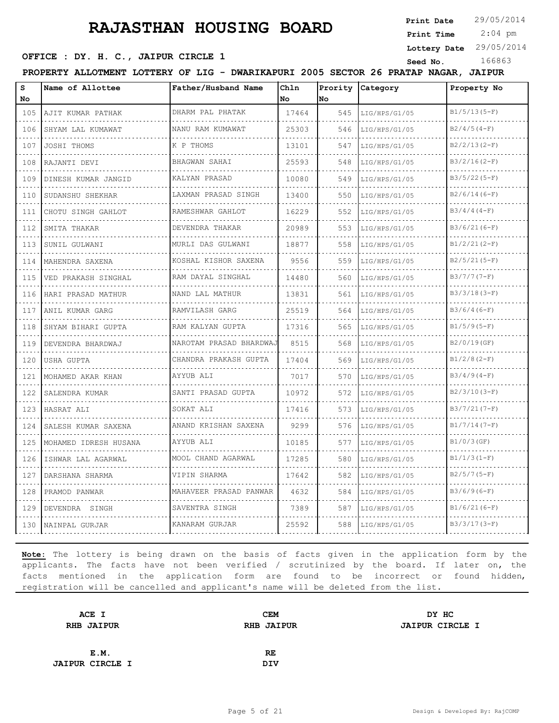**Print Date**

### **SEED OFFICE : DY. H. C., JAIPUR CIRCLE 1** Seed No. 166863

 2:04 pm **Print Time**

**Lottery Date** 29/05/2014

**PROPERTY ALLOTMENT LOTTERY OF LIG - DWARIKAPURI 2005 SECTOR 26 PRATAP NAGAR, JAIPUR**

| s<br>No.                       | Name of Allottee        | Father/Husband Name     | Chln<br>No | <b>No</b> | Prority Category | Property No    |
|--------------------------------|-------------------------|-------------------------|------------|-----------|------------------|----------------|
| 105                            | AJIT KUMAR PATHAK       | DHARM PAL PHATAK        | 17464      | 545       | LIG/HPS/G1/05    | $B1/5/13(5-F)$ |
| .<br>106                       | SHYAM LAL KUMAWAT       | NANU RAM KUMAWAT        | 25303      | 546       | LIG/HPS/G1/05    | $B2/4/5(4-F)$  |
| 107                            | JOSHI THOMS             | K P THOMS               | 13101      | 547       | LIG/HPS/G1/05    | $B2/2/13(2-F)$ |
| 108<br>$\sim$ $\sim$ $\sim$    | RAJANTI DEVI            | BHAGWAN SAHAI           | 25593      | 548       | LIG/HPS/G1/05    | $B3/2/16(2-F)$ |
| 109                            | DINESH KUMAR JANGID     | KALYAN PRASAD           | 10080      | 549       | LIG/HPS/G1/05    | $B3/5/22(5-F)$ |
| 110                            | SUDANSHU SHEKHAR        | LAXMAN PRASAD SINGH     | 13400      | 550       | LIG/HPS/G1/05    | $B2/6/14(6-F)$ |
| 111                            | CHOTU SINGH GAHLOT      | RAMESHWAR GAHLOT        | 16229      | 552       | LIG/HPS/G1/05    | $B3/4/4(4-F)$  |
| $\sim$ $\sim$ $\sim$<br>112    | SMITA THAKAR            | DEVENDRA THAKAR         | 20989      | 553       | LIG/HPS/G1/05    | $B3/6/21(6-F)$ |
| .<br>113                       | SUNIL GULWANI           | MURLI DAS GULWANI       | 18877      | 558       | LIG/HPS/G1/05    | $B1/2/21(2-F)$ |
| 114<br>.                       | MAHENDRA SAXENA         | KOSHAL KISHOR SAXENA    | 9556       | 559       | LIG/HPS/G1/05    | $B2/5/21(5-F)$ |
| 115<br>.                       | VED PRAKASH SINGHAL     | RAM DAYAL SINGHAL       | 14480      | 560       | LIG/HPS/G1/05    | $B3/7/7 (7-F)$ |
| 116                            | HARI PRASAD MATHUR<br>. | NAND LAL MATHUR         | 13831      | 561       | LIG/HPS/G1/05    | $B3/3/18(3-F)$ |
| 117<br>.                       | ANIL KUMAR GARG         | RAMVILASH GARG          | 25519      | 564       | LIG/HPS/G1/05    | $B3/6/4(6-F)$  |
| 118<br>.                       | SHYAM BIHARI GUPTA      | RAM KALYAN GUPTA        | 17316      | 565       | LIG/HPS/G1/05    | $B1/5/9(5-F)$  |
| 119                            | DEVENDRA BHARDWAJ       | NAROTAM PRASAD BHARDWAJ | 8515       | 568       | LIG/HPS/G1/05    | B2/0/19(GF)    |
| 120                            | USHA GUPTA              | CHANDRA PRAKASH GUPTA   | 17404      | 569       | LIG/HPS/G1/05    | $B1/2/8(2-F)$  |
| 121<br>.                       | MOHAMED AKAR KHAN       | AYYUB ALI               | 7017       | 570       | LIG/HPS/G1/05    | $B3/4/9(4-F)$  |
| 122                            | SALENDRA KUMAR          | SANTI PRASAD GUPTA      | 10972      | 572       | LIG/HPS/G1/05    | $B2/3/10(3-F)$ |
| 123                            | HASRAT ALI              | SOKAT ALI               | 17416      | 573       | LIG/HPS/G1/05    | $B3/7/21(7-F)$ |
| 124<br>$\sim 100$ km s $^{-1}$ | SALESH KUMAR SAXENA     | ANAND KRISHAN SAXENA    | 9299       | 576       | LIG/HPS/G1/05    | $B1/7/14(7-F)$ |
| 125                            | MOHAMED IDRESH HUSANA   | AYYUB ALI               | 10185      | 577       | LIG/HPS/G1/05    | $B1/0/3$ (GF)  |
| 126                            | ISHWAR LAL AGARWAL      | MOOL CHAND AGARWAL      | 17285      | 580       | LIG/HPS/G1/05    | $B1/1/3(I-F)$  |
| 127<br>.                       | DARSHANA SHARMA         | VIPIN SHARMA            | 17642      | 582       | LIG/HPS/G1/05    | $B2/5/7(5-F)$  |
| 128                            | PRAMOD PANWAR           | MAHAVEER PRASAD PANWAR  | 4632       | 584       | LIG/HPS/G1/05    | $B3/6/9(6-F)$  |
| 129                            | DEVENDRA SINGH          | SAVENTRA SINGH          | 7389       | 587       | LIG/HPS/G1/05    | $B1/6/21(6-F)$ |
| 130                            | NAINPAL GURJAR          | KANARAM GURJAR          | 25592      | 588       | LIG/HPS/G1/05    | $B3/3/17(3-F)$ |

| ACE I                  | <b>CEM</b>        | DY HC                  |
|------------------------|-------------------|------------------------|
| <b>RHB JAIPUR</b>      | <b>RHB JAIPUR</b> | <b>JAIPUR CIRCLE I</b> |
|                        |                   |                        |
| E.M.                   | RE                |                        |
| <b>JAIPUR CIRCLE I</b> | <b>DIV</b>        |                        |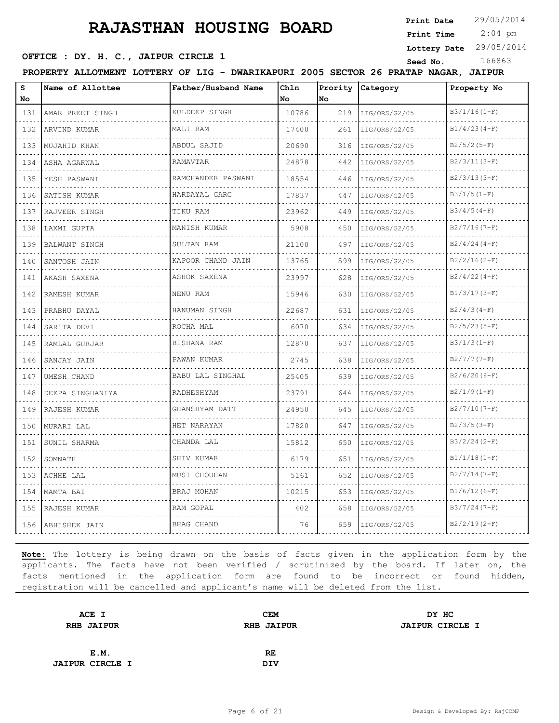**Print Date**

 2:04 pm **Print Time**

**Lottery Date** 29/05/2014

**SEED OFFICE : DY. H. C., JAIPUR CIRCLE 1** Seed No. 166863

**PROPERTY ALLOTMENT LOTTERY OF LIG - DWARIKAPURI 2005 SECTOR 26 PRATAP NAGAR, JAIPUR**

| s<br>No | Name of Allottee | Father/Husband Name    | Chln<br><b>No</b> | Prority<br>lno | Category      | Property No         |
|---------|------------------|------------------------|-------------------|----------------|---------------|---------------------|
| 131     | AMAR PREET SINGH | KULDEEP SINGH          | 10786             | 219            | LIG/ORS/G2/05 | $B3/1/16(1-F)$<br>. |
| 132     | ARVIND KUMAR     | MALI RAM               | 17400             | 261            | LIG/ORS/G2/05 | $B1/4/23(4-F)$      |
| 133     | MUJAHID KHAN     | ABDUL SAJID            | 20690             | 316            | LIG/ORS/G2/05 | $B2/5/2(5-F)$       |
| 134     | ASHA AGARWAL     | RAMAVTAR               | 24878             | 442            | LIG/ORS/G2/05 | $B2/3/11(3-F)$      |
| 135     | YESH PASWANI     | RAMCHANDER PASWANI     | 18554             | 446            | LIG/ORS/G2/05 | $B2/3/13(3-F)$      |
| 136     | SATISH KUMAR     | HARDAYAL GARG          | 17837             | 447            | LIG/ORS/G2/05 | $B3/1/5(1-F)$       |
| 137     | RAJVEER SINGH    | TIKU RAM               | 23962             | 449            | LIG/ORS/G2/05 | $B3/4/5(4-F)$       |
| 138     | LAXMI GUPTA      | MANISH KUMAR           | 5908              | 450            | LIG/ORS/G2/05 | $B2/7/16(7-F)$      |
| 139     | BALWANT SINGH    | SULTAN RAM             | 21100             | 497            | LIG/ORS/G2/05 | $B2/4/24(4-F)$      |
| 140     | SANTOSH JAIN     | KAPOOR CHAND JAIN<br>. | 13765             | 599            | LIG/ORS/G2/05 | $B2/2/16(2-F)$      |
| 141     | AKASH SAXENA     | ASHOK SAXENA           | 23997             | 628            | LIG/ORS/G2/05 | $B2/4/22(4-F)$      |
| 142     | RAMESH KUMAR     | NENU RAM               | 15946             | 630            | LIG/ORS/G2/05 | $B1/3/17(3-F)$      |
| 143     | PRABHU DAYAL     | HANUMAN SINGH<br>.     | 22687             | 631            | LIG/ORS/G2/05 | $B2/4/3(4-F)$       |
| 144     | SARITA DEVI      | ROCHA MAL              | 6070              | 634            | LIG/ORS/G2/05 | $B2/5/23(5-F)$      |
| 145     | RAMLAL GURJAR    | BISHANA RAM            | 12870             | 637            | LIG/ORS/G2/05 | $B3/1/3(1-F)$       |
| 146     | SANJAY JAIN      | PAWAN KUMAR<br>.       | 2745              | 638            | LIG/ORS/G2/05 | $B2/7/7(7-F)$       |
| 147     | UMESH CHAND      | BABU LAL SINGHAL       | 25405             | 639            | LIG/ORS/G2/05 | $B2/6/20(6-F)$      |
| 148     | DEEPA SINGHANIYA | RADHESHYAM             | 23791             | 644            | LIG/ORS/G2/05 | $B2/1/9(1-F)$       |
| 149     | RAJESH KUMAR     | GHANSHYAM DATT<br>.    | 24950             | 645            | LIG/ORS/G2/05 | $B2/7/10(7-F)$      |
| 150     | MURARI LAL       | HET NARAYAN            | 17820             | 647            | LIG/ORS/G2/05 | $B2/3/5(3-F)$       |
| 151     | SUNIL SHARMA     | CHANDA LAL             | 15812             | 650            | LIG/ORS/G2/05 | $B3/2/24(2-F)$      |
| 152     | SOMNATH          | SHIV KUMAR<br>.        | 6179              | 651            | LIG/ORS/G2/05 | $B1/1/18(1-F)$      |
| 153     | ACHHE LAL        | MUSI CHOUHAN           | 5161              | 652            | LIG/ORS/G2/05 | $B2/7/14(7-F)$      |
| 154     | MAMTA BAI        | BRAJ MOHAN             | 10215             | 653            | LIG/ORS/G2/05 | $B1/6/12(6-F)$      |
| 155     | RAJESH KUMAR     | RAM GOPAL              | 402               | 658            | LIG/ORS/G2/05 | B3/7/24(7-F)        |
| 156     | ABHISHEK JAIN    | BHAG CHAND             | 76                | 659            | LIG/ORS/G2/05 | $B2/2/19(2-F)$      |

| ACE I                  | <b>CEM</b>        | DY HC                  |
|------------------------|-------------------|------------------------|
| <b>RHB JAIPUR</b>      | <b>RHB JAIPUR</b> | <b>JAIPUR CIRCLE I</b> |
|                        |                   |                        |
| E.M.                   | RE                |                        |
| <b>JAIPUR CIRCLE I</b> | <b>DIV</b>        |                        |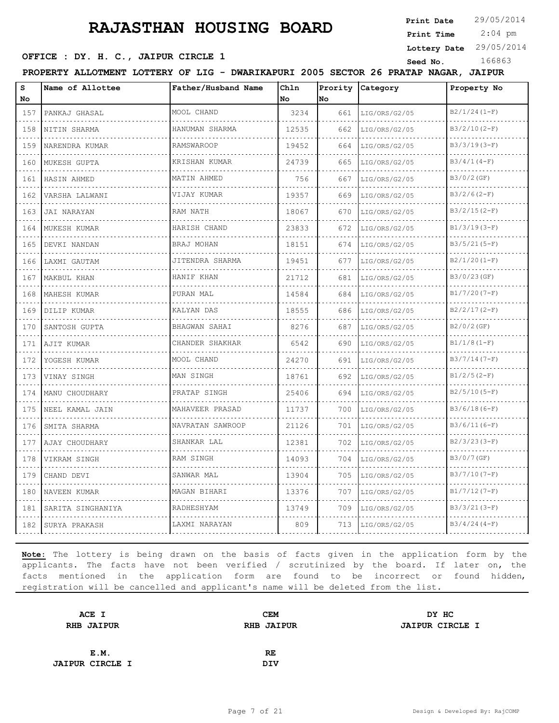**Print Date**

 2:04 pm **Print Time**

**Lottery Date** 29/05/2014

**SEED OFFICE : DY. H. C., JAIPUR CIRCLE 1** Seed No. 166863

**PROPERTY ALLOTMENT LOTTERY OF LIG - DWARIKAPURI 2005 SECTOR 26 PRATAP NAGAR, JAIPUR**

| $\mathbf{s}$<br>No          | Name of Allottee  | Father/Husband Name  | Chln<br>No | Prority<br>No | Category      | Property No    |
|-----------------------------|-------------------|----------------------|------------|---------------|---------------|----------------|
| 157                         | PANKAJ GHASAL     | MOOL CHAND           | 3234       | 661           | LIG/ORS/G2/05 | $B2/1/24(1-F)$ |
| .<br>158                    | NITIN SHARMA      | HANUMAN SHARMA       | 12535      | 662           | LIG/ORS/G2/05 | $B3/2/10(2-F)$ |
| 159                         | NARENDRA KUMAR    | <b>RAMSWAROOP</b>    | 19452      | 664           | LIG/ORS/G2/05 | $B3/3/19(3-F)$ |
| 160                         | MUKESH GUPTA      | KRISHAN KUMAR        | 24739      | 665           | LIG/ORS/G2/05 | $B3/4/1(4-F)$  |
| .<br>161                    | HASIN AHMED       | .<br>MATIN AHMED     | 756        | 667           | LIG/ORS/G2/05 | $B3/0/2$ (GF)  |
| 162                         | VARSHA LALWANI    | VIJAY KUMAR          | 19357      | 669           | LIG/ORS/G2/05 | $B3/2/6(2-F)$  |
| 163                         | JAI NARAYAN       | RAM NATH             | 18067      | 670           | LIG/ORS/G2/05 | $B3/2/15(2-F)$ |
| 164                         | MUKESH KUMAR      | HARISH CHAND         | 23833      | 672           | LIG/ORS/G2/05 | $B1/3/19(3-F)$ |
| 165                         | DEVKI NANDAN      | BRAJ MOHAN           | 18151      | 674           | LIG/ORS/G2/05 | $B3/5/21(5-F)$ |
| 166                         | LAXMI GAUTAM      | JITENDRA SHARMA      | 19451      | 677           | LIG/ORS/G2/05 | $B2/1/20(I-F)$ |
| .<br>167                    | MAKBUL KHAN       | HANIF KHAN           | 21712      | 681           | LIG/ORS/G2/05 | B3/0/23(GF)    |
| 168                         | MAHESH KUMAR      | PURAN MAL            | 14584      | 684           | LIG/ORS/G2/05 | $B1/7/20(7-F)$ |
| 169                         | DILIP KUMAR       | KALYAN DAS           | 18555      | 686           | LIG/ORS/G2/05 | $B2/2/17(2-F)$ |
| .<br>170                    | SANTOSH GUPTA     | BHAGWAN SAHAI        | 8276       | 687           | LIG/ORS/G2/05 | $B2/0/2$ (GF)  |
| 171                         | AJIT KUMAR        | CHANDER SHAKHAR      | 6542       | 690           | LIG/ORS/G2/05 | $B1/1/8(1-F)$  |
| 172                         | YOGESH KUMAR      | MOOL CHAND           | 24270      | 691           | LIG/ORS/G2/05 | $B3/7/14(7-F)$ |
| 173                         | VINAY SINGH       | MAN SINGH            | 18761      | 692           | LIG/ORS/G2/05 | $B1/2/5(2-F)$  |
| 174                         | MANU CHOUDHARY    | PRATAP SINGH         | 25406      | 694           | LIG/ORS/G2/05 | $B2/5/10(5-F)$ |
| $\sim$ $\sim$ $\sim$<br>175 | NEEL KAMAL JAIN   | MAHAVEER PRASAD<br>. | 11737      | 700           | LIG/ORS/G2/05 | $B3/6/18(6-F)$ |
| 176                         | SMITA SHARMA      | NAVRATAN SAWROOP     | 21126      | 701           | LIG/ORS/G2/05 | $B3/6/11(6-F)$ |
| 177                         | AJAY CHOUDHARY    | SHANKAR LAL          | 12381      | 702           | LIG/ORS/G2/05 | $B2/3/23(3-F)$ |
| 178                         | VIKRAM SINGH      | RAM SINGH            | 14093      | 704           | LIG/ORS/G2/05 | B3/0/7(GF)     |
| 179                         | CHAND DEVI        | SANWAR MAL           | 13904      | 705           | LIG/ORS/G2/05 | $B3/7/10(7-F)$ |
| .<br>180                    | NAVEEN KUMAR      | MAGAN BIHARI         | 13376      | 707           | LIG/ORS/G2/05 | $B1/7/12(7-F)$ |
| 181                         | SARITA SINGHANIYA | RADHESHYAM           | 13749      | 709           | LIG/ORS/G2/05 | $B3/3/21(3-F)$ |
| 182                         | SURYA PRAKASH     | LAXMI NARAYAN        | 809        | 713           | LIG/ORS/G2/05 | $B3/4/24(4-F)$ |

| ACE I                  | <b>CEM</b>        | DY HC                  |
|------------------------|-------------------|------------------------|
| <b>RHB JAIPUR</b>      | <b>RHB JAIPUR</b> | <b>JAIPUR CIRCLE I</b> |
|                        |                   |                        |
| E.M.                   | RE                |                        |
| <b>JAIPUR CIRCLE I</b> | <b>DIV</b>        |                        |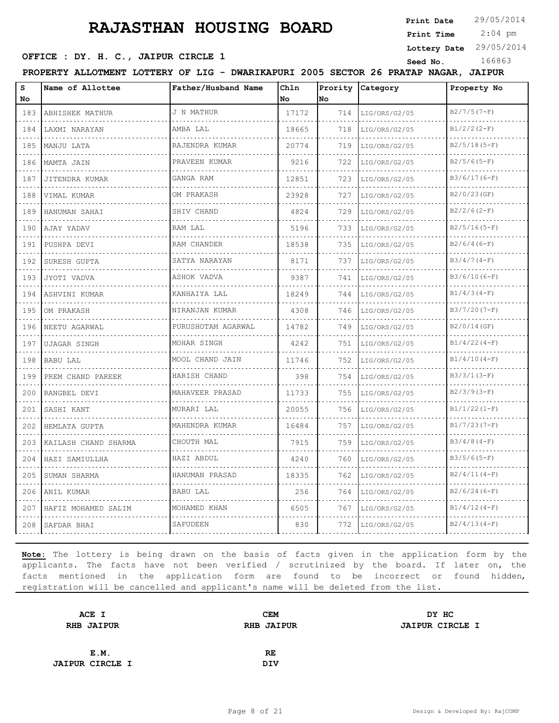**Print Date**

 2:04 pm **Print Time**

**Lottery Date** 29/05/2014

### **SEED OFFICE : DY. H. C., JAIPUR CIRCLE 1** Seed No. 166863

**PROPERTY ALLOTMENT LOTTERY OF LIG - DWARIKAPURI 2005 SECTOR 26 PRATAP NAGAR, JAIPUR**

| $\mathtt{s}$<br>No                 | Name of Allottee     | Father/Husband Name              | Chln<br>No | Prority<br>No | Category           | Property No    |
|------------------------------------|----------------------|----------------------------------|------------|---------------|--------------------|----------------|
| 183                                | ABHISHEK MATHUR      | J N MATHUR                       | 17172      | 714           | LIG/ORS/G2/05      | $B2/7/5(7-F)$  |
| .<br>184                           | .<br>LAXMI NARAYAN   | AMBA LAL                         | 18665      | 718           | .<br>LIG/ORS/G2/05 | $B1/2/2 (2-F)$ |
| 185                                | MANJU LATA           | RAJENDRA KUMAR                   | 20774      | 719           | LIG/ORS/G2/05      | $B2/5/18(5-F)$ |
| 186                                | MAMTA JAIN           | PRAVEEN KUMAR                    | 9216       | 722           | LIG/ORS/G2/05      | $B2/5/6(5-F)$  |
| 187                                | .<br>JITENDRA KUMAR  | dia dia dia dia dia<br>GANGA RAM | 12851      | 723           | .<br>LIG/ORS/G2/05 | $B3/6/17(6-F)$ |
| 188                                | VIMAL KUMAR          | OM PRAKASH                       | 23928      | 727           | LIG/ORS/G2/05      | $B2/0/23$ (GF) |
| 189                                | HANUMAN SAHAI        | SHIV CHAND                       | 4824       | 729           | LIG/ORS/G2/05      | $B2/2/6(2-F)$  |
| i a a a<br>190                     | AJAY YADAV           | RAM LAL                          | 5196       | 733           | LIG/ORS/G2/05      | $B2/5/16(5-F)$ |
| 191                                | PUSHPA DEVI          | RAM CHANDER                      | 18538      | 735           | LIG/ORS/G2/05      | $B2/6/4(6-F)$  |
| 192                                | SURESH GUPTA         | SATYA NARAYAN<br>.               | 8171       | 737           | LIG/ORS/G2/05      | $B3/4/7(4-F)$  |
| 193                                | JYOTI VADVA          | ASHOK VADVA                      | 9387       | 741           | LIG/ORS/G2/05      | $B3/6/10(6-F)$ |
| 194                                | ASHVINI KUMAR        | KANHAIYA LAL                     | 18249      | 744           | LIG/ORS/G2/05      | $B1/4/3(4-F)$  |
| 195                                | OM PRAKASH           | NIRANJAN KUMAR<br>.              | 4308       | 746           | LIG/ORS/G2/05      | $B3/7/20(7-F)$ |
| .<br>196                           | NEETU AGARWAL        | PURUSHOTAM AGARWAL               | 14782      | 749           | LIG/ORS/G2/05      | B2/0/14(GF)    |
| 197                                | UJAGAR SINGH         | MOHAR SINGH                      | 4242       | 751           | LIG/ORS/G2/05      | $B1/4/22(4-F)$ |
| 198                                | BABU LAL             | MOOL CHAND JAIN<br>.             | 11746      | 752           | LIG/ORS/G2/05      | $B1/4/10(4-F)$ |
| .<br>199                           | PREM CHAND PAREEK    | HARISH CHAND                     | 398        | 754           | LIG/ORS/G2/05      | $B3/3/1 (3-F)$ |
| 200                                | RANGBEL DEVI         | MAHAVEER PRASAD                  | 11733      | 755           | LIG/ORS/G2/05      | $B2/3/9(3-F)$  |
| 201                                | SASHI KANT           | MURARI LAL<br>.                  | 20055      | 756           | LIG/ORS/G2/05      | $B1/1/22(1-F)$ |
| $\sim$ $\sim$ $\sim$ $\sim$<br>202 | HEMLATA GUPTA        | MAHENDRA KUMAR                   | 16484      | 757           | LIG/ORS/G2/05      | $B1/7/23(7-F)$ |
| 203                                | KAILASH CHAND SHARMA | CHOUTH MAL                       | 7915       | 759           | LIG/ORS/G2/05      | $B3/4/8(4-F)$  |
| 204                                | HAZI SAMIULLHA       | HAZI ABDUL                       | 4240       | 760           | LIG/ORS/G2/05      | $B3/5/6(5-F)$  |
| 205                                | SUMAN SHARMA         | HANUMAN PRASAD                   | 18335      | 762           | LIG/ORS/G2/05      | $B2/4/11(4-F)$ |
| 206                                | ANIL KUMAR           | <b>BABU LAL</b>                  | 256        | 764           | LIG/ORS/G2/05      | $B2/6/24(6-F)$ |
| 207                                | HAFIZ MOHAMED SALIM  | MOHAMED KHAN                     | 6505       | 767           | LIG/ORS/G2/05      | $B1/4/12(4-F)$ |
| 208                                | SAFDAR BHAI          | SAFUDEEN                         | 830        | 772           | LIG/ORS/G2/05      | $B2/4/13(4-F)$ |

| ACE I                  | <b>CEM</b>        | DY HC                  |
|------------------------|-------------------|------------------------|
| <b>RHB JAIPUR</b>      | <b>RHB JAIPUR</b> | <b>JAIPUR CIRCLE I</b> |
|                        |                   |                        |
| E.M.                   | RE                |                        |
| <b>JAIPUR CIRCLE I</b> | <b>DIV</b>        |                        |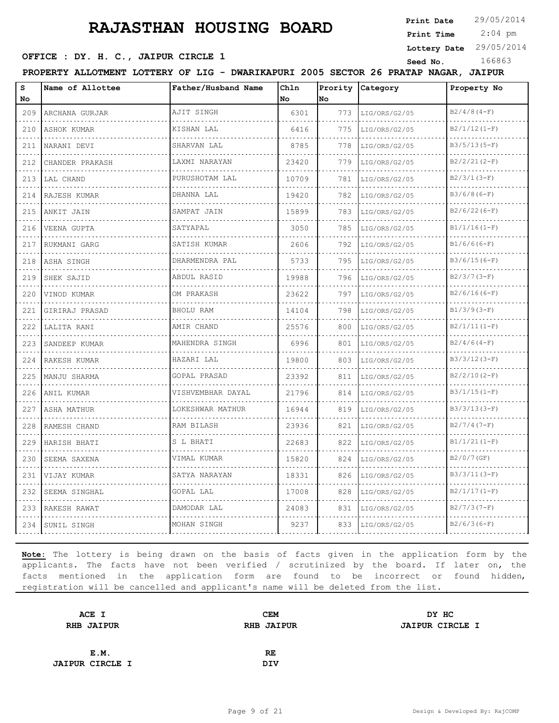**Print Date**

 $2:04$  pm **Print Time**

|                                                                                                                                  | OFFICE : DY. H. C., JAIPUR CIRCLE 1                                                 |                     |             |                   |                    | Lottery Date 29/05/2014 |
|----------------------------------------------------------------------------------------------------------------------------------|-------------------------------------------------------------------------------------|---------------------|-------------|-------------------|--------------------|-------------------------|
|                                                                                                                                  | PROPERTY ALLOTMENT LOTTERY OF LIG - DWARIKAPURI 2005 SECTOR 26 PRATAP NAGAR, JAIPUR |                     |             |                   | Seed No.           | 166863                  |
| s<br>No                                                                                                                          | Name of Allottee                                                                    | Father/Husband Name | Chln<br>No. | Prority  <br>lNo. | Category           | Property No             |
|                                                                                                                                  | 209 ARCHANA GURJAR                                                                  | AJIT SINGH          | 6301        | 773 I             | LIG/ORS/G2/05      | $B2/4/8(4-F)$           |
| $\sim$ $\sim$ $\sim$ $\sim$<br>210                                                                                               | ASHOK KUMAR                                                                         | KISHAN LAL          | 6416        | 775               | LIG/ORS/G2/05      | $B2/1/12(1-F)$          |
| 211                                                                                                                              | NARANI DEVI                                                                         | SHARVAN LAL         | 8785        | 778               | LIG/ORS/G2/05      | $B3/5/13(5-F)$          |
| 212                                                                                                                              | CHANDER PRAKASH                                                                     | LAXMI NARAYAN       | 23420       | 779               | LIG/ORS/G2/05      | $B2/2/21(2-F)$          |
| 213                                                                                                                              | LAL CHAND                                                                           | PURUSHOTAM LAL      | 10709       | 781               | LIG/ORS/G2/05      | $B2/3/1(3-F)$           |
| $\sim$ $\sim$ $\sim$ $\sim$<br>214                                                                                               | RAJESH KUMAR                                                                        | DHANNA LAL          | 19420       | 782               | LIG/ORS/G2/05      | $B3/6/8(6-F)$           |
|                                                                                                                                  | 215   ANKIT JAIN                                                                    | SAMPAT JAIN         | 15899       | 783               | LIG/ORS/G2/05      | $B2/6/22(6-F)$          |
|                                                                                                                                  | 216   VEENA GUPTA                                                                   | SATYAPAL            | 3050        | 785               | LIG/ORS/G2/05      | $B1/1/16(1-F)$          |
| 217                                                                                                                              | RUKMANI GARG                                                                        | SATISH KUMAR        | 2606        | 792               | LIG/ORS/G2/05      | $B1/6/6(6-F)$           |
| 218                                                                                                                              | ASHA SINGH                                                                          | DHARMENDRA PAL      | 5733        | 795               | LIG/ORS/G2/05      | $B3/6/15(6-F)$          |
| .<br>219                                                                                                                         | SHEK SAJID                                                                          | .<br>ABDUL RASID    | 19988       | 796               | LIG/ORS/G2/05      | $B2/3/7(3-F)$           |
| 220                                                                                                                              | VINOD KUMAR                                                                         | OM PRAKASH          | 23622       | 797               | LIG/ORS/G2/05      | $B2/6/16(6-F)$          |
| 221                                                                                                                              | GIRIRAJ PRASAD                                                                      | BHOLU RAM           | 14104       | 798               | LIG/ORS/G2/05      | $B1/3/9(3-F)$           |
| 222                                                                                                                              | LALITA RANI                                                                         | AMIR CHAND          | 25576       | 800               | LIG/ORS/G2/05      | $B2/1/11(1-F)$          |
| $\mathbf{1} \cdot \mathbf{1} \cdot \mathbf{1} \cdot \mathbf{1}$<br>223                                                           | SANDEEP KUMAR                                                                       | MAHENDRA SINGH      | 6996        | 801               | LIG/ORS/G2/05      | $B2/4/6(4-F)$           |
|                                                                                                                                  | 224 RAKESH KUMAR                                                                    | HAZARI LAL          | 19800       | 803               | LIG/ORS/G2/05      | $B3/3/12(3-F)$          |
|                                                                                                                                  | 225   MANJU SHARMA                                                                  | GOPAL PRASAD        | 23392       | 811               | LIG/ORS/G2/05      | $B2/2/10(2-F)$          |
| 226                                                                                                                              | IANIL KUMAR                                                                         | VISHVEMBHAR DAYAL   | 21796       | 814               | LIG/ORS/G2/05      | $B3/1/15(1-F)$          |
| 227                                                                                                                              | ASHA MATHUR                                                                         | LOKESHWAR MATHUR    | 16944       | 819               | LIG/ORS/G2/05      | $B3/3/13(3-F)$          |
| $\frac{1}{2} \left( \frac{1}{2} \right) \left( \frac{1}{2} \right) \left( \frac{1}{2} \right) \left( \frac{1}{2} \right)$<br>228 | RAMESH CHAND                                                                        | RAM BILASH          | 23936       | 821               | LIG/ORS/G2/05      | $B2/7/4(7-F)$           |
| 229                                                                                                                              | IHARISH BHATI                                                                       | S L BHATI           | 22683       | 822               | LIG/ORS/G2/05      | $B1/1/21(I-F)$          |
|                                                                                                                                  | 230 ISEEMA SAXENA                                                                   | VIMAL KUMAR         | 15820       |                   | 824  LIG/ORS/G2/05 | $B2/0/7$ (GF)           |

**Note:** The lottery is being drawn on the basis of facts given in the application form by the applicants. The facts have not been verified / scrutinized by the board. If later on, the facts mentioned in the application form are found to be incorrect or found hidden, registration will be cancelled and applicant's name will be deleted from the list.

231 VIJAY KUMAR SATYA NARAYAN 18331 826 LIG/ORS/G2/05 B3/3/11(3-F)

 $\mathcal{L}(\mathcal{L}(\mathcal{L},\mathcal{L},\mathcal{L},\mathcal{L},\mathcal{L},\mathcal{L},\mathcal{L},\mathcal{L},\mathcal{L},\mathcal{L},\mathcal{L},\mathcal{L},\mathcal{L},\mathcal{L},\mathcal{L},\mathcal{L},\mathcal{L},\mathcal{L},\mathcal{L},\mathcal{L},\mathcal{L},\mathcal{L},\mathcal{L},\mathcal{L},\mathcal{L},\mathcal{L},\mathcal{L},\mathcal{L},\mathcal{L},\mathcal{L},\mathcal{L},\mathcal{L},\mathcal{L},\mathcal{L},\mathcal{$ 

232 SEEMA SINGHAL GOPAL LAL 17008 828 LIG/ORS/G2/05 B2/1/17(1-F) 233 RAKESH RAWAT DAMODAR LAL 24083 831 LIG/ORS/G2/05 B2/7/3(7-F) 234 SUNIL SINGH MOHAN SINGH 9237 833 LIG/ORS/G2/05 B2/6/3(6-F)

a a a a al

| ACE I                  | <b>CEM</b>        | DY HC                  |
|------------------------|-------------------|------------------------|
| <b>RHB JAIPUR</b>      | <b>RHB JAIPUR</b> | <b>JAIPUR CIRCLE I</b> |
|                        |                   |                        |
| E.M.                   | RE                |                        |
|                        |                   |                        |
| <b>JAIPUR CIRCLE I</b> | <b>DIV</b>        |                        |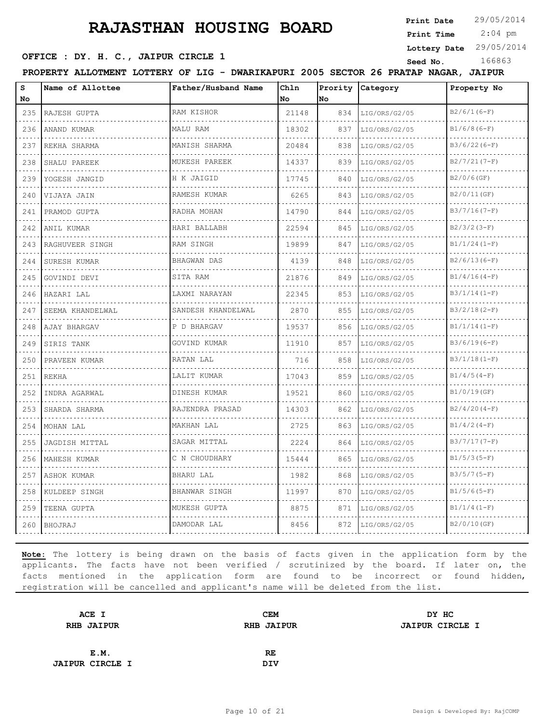**Print Date**

 2:04 pm **Print Time**

**Lottery Date** 29/05/2014

### **SEED OFFICE : DY. H. C., JAIPUR CIRCLE 1** Seed No. 166863

**PROPERTY ALLOTMENT LOTTERY OF LIG - DWARIKAPURI 2005 SECTOR 26 PRATAP NAGAR, JAIPUR**

| s<br>No                            | Name of Allottee | Father/Husband Name | Chln<br>No | Prority<br>lno | Category      | Property No     |
|------------------------------------|------------------|---------------------|------------|----------------|---------------|-----------------|
| 235                                | RAJESH GUPTA     | RAM KISHOR          | 21148      | 834            | LIG/ORS/G2/05 | $B2/6/1(6-F)$   |
| 236                                | ANAND KUMAR      | MALU RAM            | 18302      | 837            | LIG/ORS/G2/05 | $B1/6/8(6-F)$   |
| 237                                | REKHA SHARMA     | MANISH SHARMA       | 20484      | 838            | LIG/ORS/G2/05 | $B3/6/22(6-F)$  |
| 238                                | SHALU PAREEK     | MUKESH PAREEK       | 14337      | 839            | LIG/ORS/G2/05 | $B2/7/21(7-F)$  |
| 239                                | YOGESH JANGID    | H K JAIGID          | 17745      | 840            | LIG/ORS/G2/05 | $B2/0/6$ (GF)   |
| 240                                | VIJAYA JAIN      | RAMESH KUMAR        | 6265       | 843            | LIG/ORS/G2/05 | B2/0/11(GF)     |
| 241                                | PRAMOD GUPTA     | RADHA MOHAN<br>.    | 14790      | 844            | LIG/ORS/G2/05 | $B3/7/16(7-F)$  |
| 242                                | ANIL KUMAR       | HARI BALLABH        | 22594      | 845            | LIG/ORS/G2/05 | $B2/3/2(3-F)$   |
| 243                                | RAGHUVEER SINGH  | RAM SINGH           | 19899      | 847            | LIG/ORS/G2/05 | $B1/1/24 (1-F)$ |
| 244                                | SURESH KUMAR     | <b>BHAGWAN DAS</b>  | 4139       | 848            | LIG/ORS/G2/05 | $B2/6/13(6-F)$  |
| $\sim$ $\sim$ $\sim$ $\sim$<br>245 | GOVINDI DEVI     | SITA RAM            | 21876      | 849            | LIG/ORS/G2/05 | $B1/4/16(4-F)$  |
| 246                                | HAZARI LAL       | LAXMI NARAYAN       | 22345      | 853            | LIG/ORS/G2/05 | $B3/1/14(1-F)$  |
| 247                                | SEEMA KHANDELWAL | SANDESH KHANDELWAL  | 2870       | 855            | LIG/ORS/G2/05 | $B3/2/18(2-F)$  |
| .<br>248                           | AJAY BHARGAV     | P D BHARGAV         | 19537      | 856            | LIG/ORS/G2/05 | $B1/1/14(1-F)$  |
| 249                                | SIRIS TANK       | GOVIND KUMAR        | 11910      | 857            | LIG/ORS/G2/05 | $B3/6/19(6-F)$  |
| 250                                | PRAVEEN KUMAR    | RATAN LAL           | 716        | 858            | LIG/ORS/G2/05 | $B3/1/18(1-F)$  |
| $\sim$ $\sim$ $\sim$ $\sim$<br>251 | <b>REKHA</b>     | LALIT KUMAR         | 17043      | 859            | LIG/ORS/G2/05 | $B1/4/5(4-F)$   |
| 252                                | INDRA AGARWAL    | DINESH KUMAR        | 19521      | 860            | LIG/ORS/G2/05 | B1/0/19(GF)     |
| 253                                | SHARDA SHARMA    | RAJENDRA PRASAD     | 14303      | 862            | LIG/ORS/G2/05 | $B2/4/20(4-F)$  |
| .<br>254                           | MOHAN LAL        | MAKHAN LAL          | 2725       | 863            | LIG/ORS/G2/05 | $B1/4/2 (4-F)$  |
| $  -$<br>255                       | JAGDISH MITTAL   | SAGAR MITTAL        | 2224       | 864            | LIG/ORS/G2/05 | $B3/7/17(7-F)$  |
| 256                                | MAHESH KUMAR     | C N CHOUDHARY       | 15444      | 865            | LIG/ORS/G2/05 | $B1/5/3(5-F)$   |
| 257                                | ASHOK KUMAR      | <b>BHARU LAL</b>    | 1982       | 868            | LIG/ORS/G2/05 | $B3/5/7 (5-F)$  |
| 258                                | KULDEEP SINGH    | BHANWAR SINGH       | 11997      | 870            | LIG/ORS/G2/05 | $B1/5/6(5-F)$   |
| 259                                | TEENA GUPTA      | MUKESH GUPTA        | 8875       | 871            | LIG/ORS/G2/05 | $B1/1/4(I-F)$   |
| 260                                | BHOJRAJ          | DAMODAR LAL         | 8456       | 872            | LIG/ORS/G2/05 | B2/0/10(GF)     |

| ACE I                  | <b>CEM</b>        | DY HC                  |
|------------------------|-------------------|------------------------|
| <b>RHB JAIPUR</b>      | <b>RHB JAIPUR</b> | <b>JAIPUR CIRCLE I</b> |
|                        |                   |                        |
| E.M.                   | RE                |                        |
| <b>JAIPUR CIRCLE I</b> | <b>DIV</b>        |                        |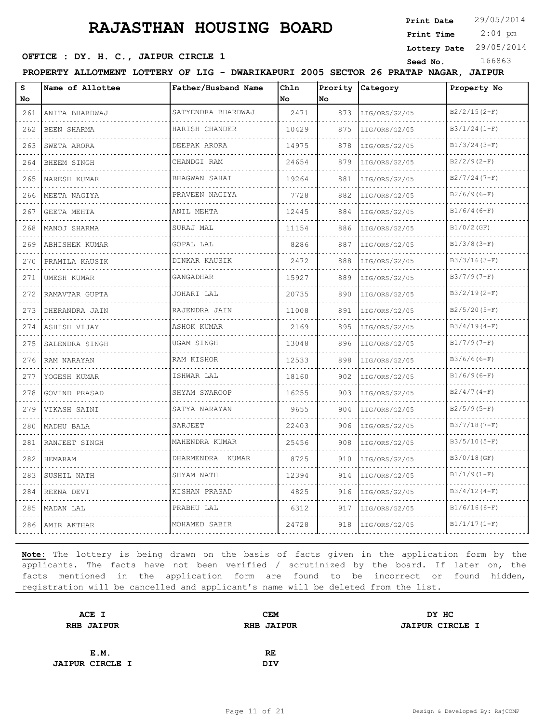**Print Date**

 2:04 pm **Print Time**

# **SEED OFFICE : DY. H. C., JAIPUR CIRCLE 1** Seed No. 166863

**Lottery Date** 29/05/2014

**PROPERTY ALLOTMENT LOTTERY OF LIG - DWARIKAPURI 2005 SECTOR 26 PRATAP NAGAR, JAIPUR**

| S<br>No                            | Name of Allottee   | Father/Husband Name                   | Chln<br>No | Prority<br>No | Category                               | Property No    |
|------------------------------------|--------------------|---------------------------------------|------------|---------------|----------------------------------------|----------------|
| 261                                | ANITA BHARDWAJ     | SATYENDRA BHARDWAJ                    | 2471       | 873           | LIG/ORS/G2/05                          | $B2/2/15(2-F)$ |
| 262                                | BEEN SHARMA        | .<br>HARISH CHANDER                   | 10429      | 875           | did did did did did .<br>LIG/ORS/G2/05 | $B3/1/24(1-F)$ |
| 263                                | SWETA ARORA        | dia dia dia dia dia .<br>DEEPAK ARORA | 14975      | 878           | LIG/ORS/G2/05                          | $B1/3/24(3-F)$ |
| 264                                | <b>BHEEM SINGH</b> | CHANDGI RAM                           | 24654      | 879           | LIG/ORS/G2/05                          | $B2/2/9(2-F)$  |
| 265                                | NARESH KUMAR       | .<br>BHAGWAN SAHAI                    | 19264      | 881           | LIG/ORS/G2/05                          | $B2/7/24(7-F)$ |
| 266                                | MEETA NAGIYA       | PRAVEEN NAGIYA                        | 7728       | 882           | LIG/ORS/G2/05                          | $B2/6/9(6-F)$  |
| 267                                | GEETA MEHTA        | ANIL MEHTA                            | 12445      | 884           | LIG/ORS/G2/05                          | $B1/6/4(6-F)$  |
| 268                                | MANOJ SHARMA       | SURAJ MAL                             | 11154      | 886           | LIG/ORS/G2/05                          | $B1/0/2$ (GF)  |
| 269                                | ABHISHEK KUMAR     | GOPAL LAL                             | 8286       | 887           | LIG/ORS/G2/05                          | $B1/3/8(3-F)$  |
| 270                                | PRAMILA KAUSIK     | DINKAR KAUSIK                         | 2472       | 888           | LIG/ORS/G2/05                          | $B3/3/16(3-F)$ |
| 271                                | <b>UMESH KUMAR</b> | is seles seles s<br>GANGADHAR         | 15927      | 889           | LIG/ORS/G2/05                          | $B3/7/9(T-F)$  |
| 272                                | RAMAVTAR GUPTA     | JOHARI LAL                            | 20735      | 890           | LIG/ORS/G2/05                          | $B3/2/19(2-F)$ |
| 273                                | DHERANDRA JAIN     | RAJENDRA JAIN<br>.                    | 11008      | 891           | LIG/ORS/G2/05                          | $B2/5/20(5-F)$ |
| $\sim 100$ km s $^{-1}$<br>274     | ASHISH VIJAY       | ASHOK KUMAR                           | 2169       | 895           | LIG/ORS/G2/05                          | $B3/4/19(4-F)$ |
| 275                                | SALENDRA SINGH     | <b>UGAM SINGH</b>                     | 13048      | 896           | LIG/ORS/G2/05                          | $B1/7/9(7-F)$  |
| 276                                | RAM NARAYAN        | RAM KISHOR<br>.                       | 12533      | 898           | LIG/ORS/G2/05                          | $B3/6/6(6-F)$  |
| $\sim$ $\sim$ $\sim$<br>277        | YOGESH KUMAR       | ISHWAR LAL                            | 18160      | 902           | LIG/ORS/G2/05                          | $B1/6/9(6-F)$  |
| 278                                | GOVIND PRASAD      | SHYAM SWAROOP                         | 16255      | 903           | LIG/ORS/G2/05                          | $B2/4/7(4-F)$  |
| 279                                | VIKASH SAINI       | SATYA NARAYAN                         | 9655       | 904           | LIG/ORS/G2/05                          | $B2/5/9(5-F)$  |
| $\sim$ $\sim$ $\sim$<br>280        | MADHU BALA         | SARJEET                               | 22403      | 906           | LIG/ORS/G2/05                          | $B3/7/18(7-F)$ |
| 281                                | RANJEET SINGH      | MAHENDRA KUMAR                        | 25456      | 908           | LIG/ORS/G2/05                          | $B3/5/10(5-F)$ |
| 282                                | HEMARAM            | DHARMENDRA KUMAR<br>.                 | 8725       | 910           | LIG/ORS/G2/05                          | B3/0/18(GF)    |
| $\sim$ $\sim$ $\sim$ $\sim$<br>283 | SUSHIL NATH        | SHYAM NATH                            | 12394      | 914           | LIG/ORS/G2/05                          | $B1/1/9(1-F)$  |
| 284                                | REENA DEVI         | KISHAN PRASAD                         | 4825       | 916           | LIG/ORS/G2/05                          | $B3/4/12(4-F)$ |
| 285                                | MADAN LAL          | PRABHU LAL                            | 6312       | 917           | LIG/ORS/G2/05                          | $B1/6/16(6-F)$ |
| 286                                | AMIR AKTHAR        | MOHAMED SABIR                         | 24728      | 918           | LIG/ORS/G2/05                          | $B1/1/17(1-F)$ |

| ACE I                  | <b>CEM</b>        | DY HC                  |
|------------------------|-------------------|------------------------|
| <b>RHB JAIPUR</b>      | <b>RHB JAIPUR</b> | <b>JAIPUR CIRCLE I</b> |
|                        |                   |                        |
| E.M.                   | RE                |                        |
| <b>JAIPUR CIRCLE I</b> | <b>DIV</b>        |                        |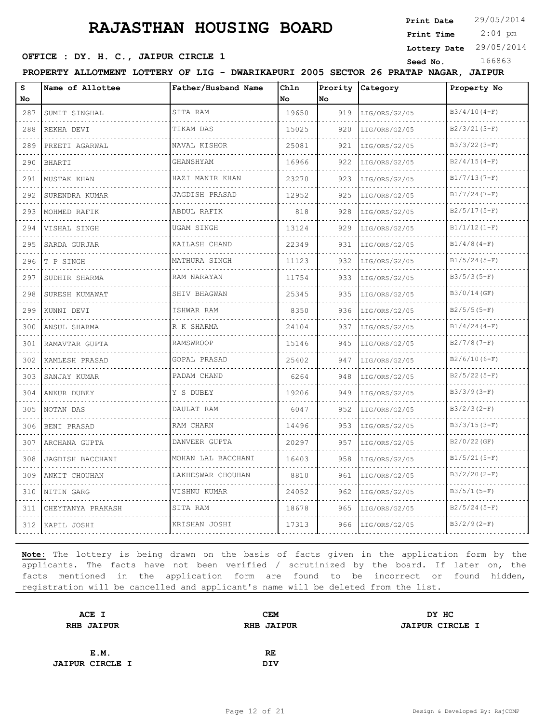**Print Date**

 2:04 pm **Print Time**

**Lottery Date** 29/05/2014

**SEED OFFICE : DY. H. C., JAIPUR CIRCLE 1** Seed No. 166863

**PROPERTY ALLOTMENT LOTTERY OF LIG - DWARIKAPURI 2005 SECTOR 26 PRATAP NAGAR, JAIPUR**

| s<br>No                                                                                               | Name of Allottee  | Father/Husband Name           | Chln<br>No | Prority<br>No. | Category           | Property No     |
|-------------------------------------------------------------------------------------------------------|-------------------|-------------------------------|------------|----------------|--------------------|-----------------|
| 287                                                                                                   | SUMIT SINGHAL     | SITA RAM                      | 19650      | 919            | LIG/ORS/G2/05      | $B3/4/10(4-F)$  |
| 288                                                                                                   | .<br>REKHA DEVI   | TIKAM DAS                     | 15025      | 920            | .<br>LIG/ORS/G2/05 | $B2/3/21(3-F)$  |
| 289                                                                                                   | PREETI AGARWAL    | NAVAL KISHOR                  | 25081      | 921            | LIG/ORS/G2/05      | $B3/3/22(3-F)$  |
| 290                                                                                                   | BHARTI            | GHANSHYAM                     | 16966      | 922            | LIG/ORS/G2/05      | $B2/4/15(4-F)$  |
| $\sim$ $\sim$ $\sim$<br>291                                                                           | MUSTAK KHAN       | .<br>HAZI MANIR KHAN          | 23270      | 923            | LIG/ORS/G2/05      | $B1/7/13(7-F)$  |
| 292                                                                                                   | SURENDRA KUMAR    | .<br>JAGDISH PRASAD           | 12952      | 925            | LIG/ORS/G2/05      | $B1/7/24(7-F)$  |
| 293                                                                                                   | MOHMED RAFIK      | ABDUL RAFIK                   | 818        | 928            | LIG/ORS/G2/05      | $B2/5/17(5-F)$  |
| $\sim 100$ $\mu$<br>294                                                                               | VISHAL SINGH      | <u>.</u><br><b>UGAM SINGH</b> | 13124      | 929            | LIG/ORS/G2/05      | $B1/1/12(1-F)$  |
| 295                                                                                                   | SARDA GURJAR      | KAILASH CHAND                 | 22349      | 931            | LIG/ORS/G2/05      | $B1/4/8(4-F)$   |
| 296                                                                                                   | T P SINGH         | MATHURA SINGH<br>.            | 11123      | 932            | LIG/ORS/G2/05      | $B1/5/24(5-F)$  |
| 297                                                                                                   | SUDHIR SHARMA     | RAM NARAYAN                   | 11754      | 933            | LIG/ORS/G2/05      | $B3/5/3(5-F)$   |
| 298                                                                                                   | SURESH KUMAWAT    | SHIV BHAGWAN                  | 25345      | 935            | LIG/ORS/G2/05      | B3/0/14(GF)     |
| 299                                                                                                   | KUNNI DEVI        | ISHWAR RAM<br>.               | 8350       | 936            | LIG/ORS/G2/05      | $B2/5/5(5-F)$   |
| $\sim$ $\sim$ $\sim$<br>300                                                                           | ANSUL SHARMA      | R K SHARMA                    | 24104      | 937            | LIG/ORS/G2/05      | $B1/4/24(4-F)$  |
| 301                                                                                                   | RAMAVTAR GUPTA    | <b>RAMSWROOP</b>              | 15146      | 945            | LIG/ORS/G2/05      | $B2/7/8(7-F)$   |
| 302                                                                                                   | KAMLESH PRASAD    | GOPAL PRASAD<br>.             | 25402      | 947            | LIG/ORS/G2/05      | $B2/6/10(6-F)$  |
| $\sim$ $\sim$ $\sim$<br>303                                                                           | SANJAY KUMAR      | PADAM CHAND                   | 6264       | 948            | LIG/ORS/G2/05      | $B2/5/22(5-F)$  |
| 304                                                                                                   | ANKUR DUBEY       | Y S DUBEY                     | 19206      | 949            | LIG/ORS/G2/05      | $B3/3/9(3-F)$   |
| 305                                                                                                   | NOTAN DAS         | DAULAT RAM<br>.               | 6047       | 952            | LIG/ORS/G2/05      | $B3/2/3 (2-F)$  |
| 306                                                                                                   | BENI PRASAD       | RAM CHARN                     | 14496      | 953            | LIG/ORS/G2/05      | $B3/3/15(3-F)$  |
| 307                                                                                                   | ARCHANA GUPTA     | DANVEER GUPTA                 | 20297      | 957            | LIG/ORS/G2/05      | B2/0/22(GF)     |
| 308                                                                                                   | JAGDISH BACCHANI  | MOHAN LAL BACCHANI            | 16403      | 958            | LIG/ORS/G2/05      | $B1/5/21(5-F)$  |
| $\frac{1}{2} \left( \frac{1}{2} \right) \left( \frac{1}{2} \right) \left( \frac{1}{2} \right)$<br>309 | ANKIT CHOUHAN     | LAKHESWAR CHOUHAN             | 8810       | 961            | LIG/ORS/G2/05      | $B3/2/20 (2-F)$ |
| 310                                                                                                   | NITIN GARG        | VISHNU KUMAR                  | 24052      | 962            | LIG/ORS/G2/05      | $B3/5/1(5-F)$   |
| 311                                                                                                   | CHEYTANYA PRAKASH | SITA RAM                      | 18678      | 965            | LIG/ORS/G2/05      | $B2/5/24(5-F)$  |
| 312                                                                                                   | KAPIL JOSHI       | KRISHAN JOSHI                 | 17313      | 966            | LIG/ORS/G2/05      | $B3/2/9(2-F)$   |

| ACE I                  | <b>CEM</b>        | DY HC                  |
|------------------------|-------------------|------------------------|
| <b>RHB JAIPUR</b>      | <b>RHB JAIPUR</b> | <b>JAIPUR CIRCLE I</b> |
|                        |                   |                        |
| E.M.                   | RE                |                        |
| <b>JAIPUR CIRCLE I</b> | <b>DIV</b>        |                        |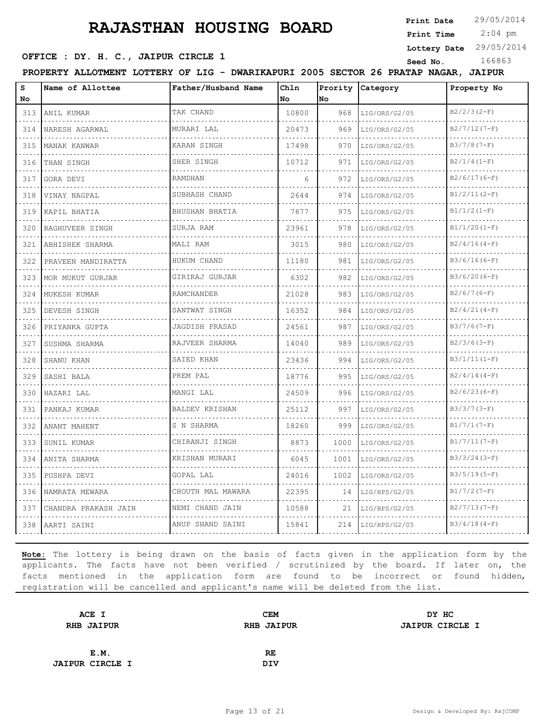**Print Date**

 2:04 pm **Print Time**

**Lottery Date** 29/05/2014

### **OFFICE : DY. H. C., JAIPUR CIRCLE 1** Seed No. 166863

**PROPERTY ALLOTMENT LOTTERY OF LIG - DWARIKAPURI 2005 SECTOR 26 PRATAP NAGAR, JAIPUR**

| s<br>No | Name of Allottee     | Father/Husband Name | Chln<br>No. | No.  | Prority Category | Property No    |
|---------|----------------------|---------------------|-------------|------|------------------|----------------|
| 313     | ANIL KUMAR           | TAK CHAND           | 10800       | 968  | LIG/ORS/G2/05    | $B2/2/3(2-F)$  |
| 314     | NARESH AGARWAL       | MURARI LAL          | 20473       | 969  | LIG/ORS/G2/05    | $B2/7/12(7-F)$ |
| 315     | MANAK KANWAR         | KARAN SINGH         | 17498       | 970  | LIG/ORS/G2/05    | $B3/7/8(7-F)$  |
| 316     | THAN SINGH           | SHER SINGH          | 10712       | 971  | LIG/ORS/G2/05    | $B2/1/4(I-F)$  |
| 317     | GORA DEVI            | RAMDHAN             | 6           | 972  | LIG/ORS/G2/05    | $B2/6/17(6-F)$ |
| 318     | VINAY NAGPAL         | SUBHASH CHAND       | 2644        | 974  | LIG/ORS/G2/05    | $B1/2/11(2-F)$ |
| 319     | KAPIL BHATIA         | BHUSHAN BHATIA      | 7877        | 975  | LIG/ORS/G2/05    | $B1/1/2(I-F)$  |
| 320     | RAGHUVEER SINGH      | SURJA RAM           | 23961       | 978  | LIG/ORS/G2/05    | $B1/1/20(I-F)$ |
| 321     | ABHISHEK SHARMA      | MALI RAM            | 3015        | 980  | LIG/ORS/G2/05    | $B2/4/16(4-F)$ |
| 322     | PRAVEEN MANDIRATTA   | HUKUM CHAND         | 11180       | 981  | LIG/ORS/G2/05    | $B3/6/16(6-F)$ |
| 323     | MOR MUKUT GURJAR     | GIRIRAJ GURJAR      | 6302        | 982  | LIG/ORS/G2/05    | $B3/6/20(6-F)$ |
| 324     | MUKESH KUMAR         | RAMCHANDER          | 21028       | 983  | LIG/ORS/G2/05    | $B2/6/7(6-F)$  |
| 325     | DEVESH SINGH         | SANTWAT SINGH       | 16352       | 984  | LIG/ORS/G2/05    | $B2/4/21(4-F)$ |
| 326     | PRIYANKA GUPTA       | JAGDISH PRASAD      | 24561       | 987  | LIG/ORS/G2/05    | $B3/7/6(7-F)$  |
| 327     | SUSHMA SHARMA        | RAJVEER SHARMA      | 14040       | 989  | LIG/ORS/G2/05    | $B2/3/6(3-F)$  |
| 328     | SHANU KHAN           | SAIED KHAN          | 23436       | 994  | LIG/ORS/G2/05    | $B3/1/11(1-F)$ |
| 329     | SASHI BALA           | PREM PAL            | 18776       | 995  | LIG/ORS/G2/05    | $B2/4/14(4-F)$ |
| 330     | HAZARI LAL           | MANGI LAL           | 24509       | 996  | LIG/ORS/G2/05    | $B2/6/23(6-F)$ |
| 331     | PANKAJ KUMAR         | BALDEV KRISHAN      | 25112       | 997  | LIG/ORS/G2/05    | $B3/3/7 (3-F)$ |
| 332     | ANANT MAHENT         | S N SHARMA          | 18260       | 999  | LIG/ORS/G2/05    | $B1/7/1(T-F)$  |
| 333     | SUNIL KUMAR          | CHIRANJI SINGH      | 8873        | 1000 | LIG/ORS/G2/05    | $B1/7/11(7-F)$ |
| 334     | ANITA SHARMA         | KRISHAN MURARI<br>. | 6045        | 1001 | LIG/ORS/G2/05    | $B3/3/24(3-F)$ |
| 335     | PUSHPA DEVI          | GOPAL LAL           | 24016       | 1002 | LIG/ORS/G2/05    | $B3/5/19(5-F)$ |
| 336     | NAMRATA MEWARA       | CHOUTH MAL MAWARA   | 22395       | 14   | LIG/HPS/G2/05    | $B1/7/2(7-F)$  |
| 337     | CHANDRA PRAKASH JAIN | NEMI CHAND JAIN     | 10588       | 21   | LIG/HPS/G2/05    | $B2/7/13(7-F)$ |
| 338     | AARTI SAINI          | ANUP SHAND SAINI    | 15841       | 214  | LIG/HPS/G2/05    | $B3/4/18(4-F)$ |

| ACE I                  | <b>CEM</b>        | DY HC                  |
|------------------------|-------------------|------------------------|
| <b>RHB JAIPUR</b>      | <b>RHB JAIPUR</b> | <b>JAIPUR CIRCLE I</b> |
|                        |                   |                        |
| E.M.                   | RE                |                        |
| <b>JAIPUR CIRCLE I</b> | <b>DIV</b>        |                        |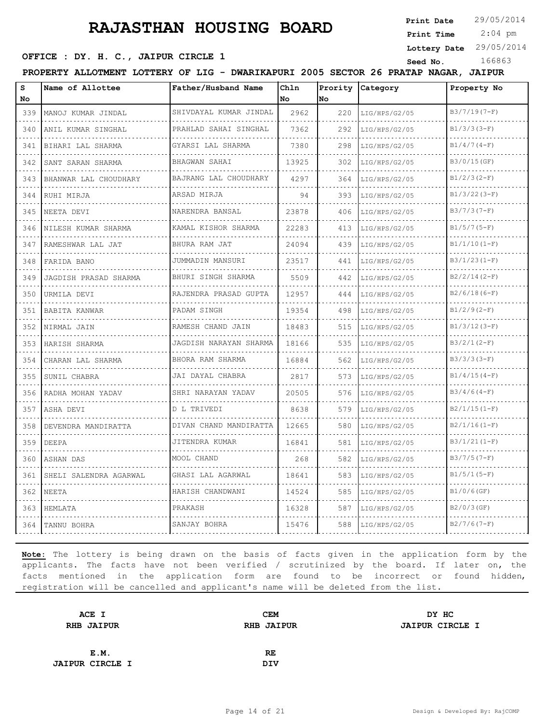**Print Date**

 2:04 pm **Print Time**

**Lottery Date** 29/05/2014

### **SEED OFFICE : DY. H. C., JAIPUR CIRCLE 1** Seed No. 166863

**PROPERTY ALLOTMENT LOTTERY OF LIG - DWARIKAPURI 2005 SECTOR 26 PRATAP NAGAR, JAIPUR**

| S<br>No              | Name of Allottee           | Father/Husband Name        | Chln<br>No | <b>No</b> | Prority Category | Property No    |
|----------------------|----------------------------|----------------------------|------------|-----------|------------------|----------------|
| 339                  | MANOJ KUMAR JINDAL         | SHIVDAYAL KUMAR JINDAL     | 2962       | 220       | LIG/HPS/G2/05    | $B3/7/19(7-F)$ |
| .<br>340             | ANIL KUMAR SINGHAL         | PRAHLAD SAHAI SINGHAL      | 7362       | 292       | LIG/HPS/G2/05    | $B1/3/3(3-F)$  |
| 341                  | BIHARI LAL SHARMA          | GYARSI LAL SHARMA          | 7380       | 298       | LIG/HPS/G2/05    | $B1/4/7(4-F)$  |
| 342                  | .<br>SANT SARAN SHARMA     | BHAGWAN SAHAI              | 13925      | 302       | LIG/HPS/G2/05    | B3/0/15(GF)    |
| .<br>343             | .<br>BHANWAR LAL CHOUDHARY | .<br>BAJRANG LAL CHOUDHARY | 4297       | 364       | LIG/HPS/G2/05    | $B1/2/3(2-F)$  |
| 344                  | RUHI MIRJA                 | ARSAD MIRJA                | 94         | 393       | LIG/HPS/G2/05    | $B1/3/22(3-F)$ |
| 345                  | NEETA DEVI                 | NARENDRA BANSAL            | 23878      | 406       | LIG/HPS/G2/05    | $B3/7/3(7-F)$  |
| 346                  | NILESH KUMAR SHARMA        | KAMAL KISHOR SHARMA        | 22283      | 413       | LIG/HPS/G2/05    | $B1/5/7(5-F)$  |
| 347                  | RAMESHWAR LAL JAT          | BHURA RAM JAT              | 24094      | 439       | LIG/HPS/G2/05    | $B1/1/10(I-F)$ |
| 348                  | FARIDA BANO                | JUMMADIN MANSURI           | 23517      | 441       | LIG/HPS/G2/05    | $B3/1/23(1-F)$ |
| .<br>349             | JAGDISH PRASAD SHARMA      | BHURI SINGH SHARMA         | 5509       | 442       | LIG/HPS/G2/05    | $B2/2/14(2-F)$ |
| 350                  | URMILA DEVI                | RAJENDRA PRASAD GUPTA      | 12957      | 444       | LIG/HPS/G2/05    | $B2/6/18(6-F)$ |
| 351                  | BABITA KANWAR              | PADAM SINGH                | 19354      | 498       | LIG/HPS/G2/05    | $B1/2/9(2-F)$  |
| 352                  | NIRMAL JAIN                | RAMESH CHAND JAIN          | 18483      | 515       | LIG/HPS/G2/05    | $B1/3/12(3-F)$ |
| 353                  | HARISH SHARMA              | JAGDISH NARAYAN SHARMA     | 18166      | 535       | LIG/HPS/G2/05    | $B3/2/1(2-F)$  |
| 354                  | CHARAN LAL SHARMA          | BHORA RAM SHARMA           | 16884      | 562       | LIG/HPS/G2/05    | $B3/3/3(3-F)$  |
| 355                  | SUNIL CHABRA               | JAI DAYAL CHABRA           | 2817       | 573       | LIG/HPS/G2/05    | $B1/4/15(4-F)$ |
| 356                  | RADHA MOHAN YADAV          | SHRI NARAYAN YADAV         | 20505      | 576       | LIG/HPS/G2/05    | $B3/4/6(4-F)$  |
| 357                  | ASHA DEVI                  | D L TRIVEDI                | 8638       | 579       | LIG/HPS/G2/05    | $B2/1/15(1-F)$ |
| 358<br>and the state | DEVENDRA MANDIRATTA        | DIVAN CHAND MANDIRATTA     | 12665      | 580       | LIG/HPS/G2/05    | $B2/1/16(1-F)$ |
| 359                  | DEEPA                      | JITENDRA KUMAR             | 16841      | 581       | LIG/HPS/G2/05    | $B3/1/21(1-F)$ |
| 360                  | ASHAN DAS                  | MOOL CHAND                 | 268        | 582       | LIG/HPS/G2/05    | $B3/7/5(7-F)$  |
| 361                  | SHELI SALENDRA AGARWAL     | GHASI LAL AGARWAL          | 18641      | 583       | LIG/HPS/G2/05    | $B1/5/1(5-F)$  |
| 362                  | NEETA                      | HARISH CHANDWANI           | 14524      | 585       | LIG/HPS/G2/05    | $B1/0/6$ (GF)  |
| 363                  | HEMLATA                    | PRAKASH                    | 16328      | 587       | LIG/HPS/G2/05    | $B2/0/3$ (GF)  |
| 364                  | TANNU BOHRA                | SANJAY BOHRA               | 15476      | 588       | LIG/HPS/G2/05    | $B2/7/6(7-F)$  |

| ACE I                  | <b>CEM</b>        | DY HC                  |
|------------------------|-------------------|------------------------|
| <b>RHB JAIPUR</b>      | <b>RHB JAIPUR</b> | <b>JAIPUR CIRCLE I</b> |
|                        |                   |                        |
| E.M.                   | RE                |                        |
| <b>JAIPUR CIRCLE I</b> | <b>DIV</b>        |                        |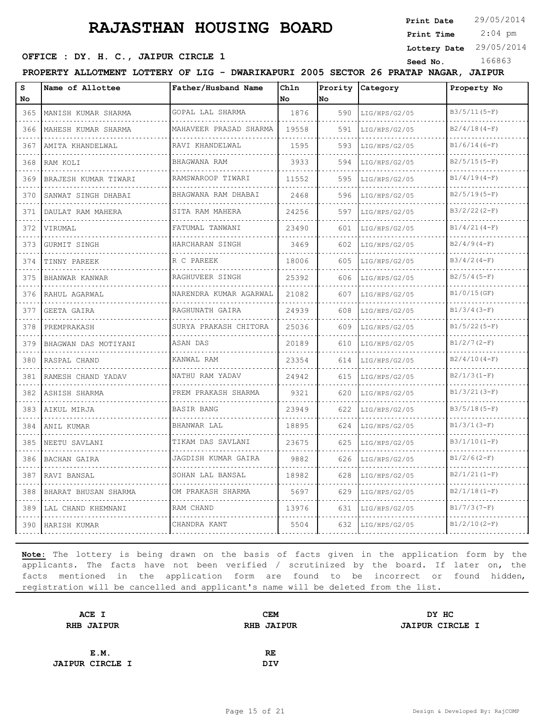**Print Date**

 2:04 pm **Print Time**

**Lottery Date** 29/05/2014

### **SEED OFFICE : DY. H. C., JAIPUR CIRCLE 1** Seed No. 166863

**PROPERTY ALLOTMENT LOTTERY OF LIG - DWARIKAPURI 2005 SECTOR 26 PRATAP NAGAR, JAIPUR**

| s   | Name of Allottee     | Father/Husband Name    | Ch1n  | Prority | Category      | Property No    |
|-----|----------------------|------------------------|-------|---------|---------------|----------------|
| No  |                      |                        | No    | No      |               |                |
| 365 | MANISH KUMAR SHARMA  | GOPAL LAL SHARMA       | 1876  | 590     | LIG/HPS/G2/05 | $B3/5/11(5-F)$ |
| 366 | MAHESH KUMAR SHARMA  | MAHAVEER PRASAD SHARMA | 19558 | 591     | LIG/HPS/G2/05 | $B2/4/18(4-F)$ |
| 367 | AMITA KHANDELWAL     | RAVI KHANDELWAL        | 1595  | 593     | LIG/HPS/G2/05 | $B1/6/14(6-F)$ |
| 368 | RAM KOLI             | BHAGWANA RAM           | 3933  | 594     | LIG/HPS/G2/05 | $B2/5/15(5-F)$ |
| 369 | BRAJESH KUMAR TIWARI | RAMSWAROOP TIWARI      | 11552 | 595     | LIG/HPS/G2/05 | $B1/4/19(4-F)$ |
| 370 | SANWAT SINGH DHABAI  | BHAGWANA RAM DHABAI    | 2468  | 596     | LIG/HPS/G2/05 | $B2/5/19(5-F)$ |
| 371 | DAULAT RAM MAHERA    | SITA RAM MAHERA        | 24256 | 597     | LIG/HPS/G2/05 | $B3/2/22(2-F)$ |
| 372 | VIRUMAL              | FATUMAL TANWANI        | 23490 | 601     | LIG/HPS/G2/05 | $B1/4/21(4-F)$ |
| 373 | GURMIT SINGH         | HARCHARAN SINGH        | 3469  | 602     | LIG/HPS/G2/05 | $B2/4/9(4-F)$  |
| 374 | TINNY PAREEK         | R C PAREEK             | 18006 | 605     | LIG/HPS/G2/05 | $B3/4/2(4-F)$  |
| 375 | BHANWAR KANWAR       | RAGHUVEER SINGH        | 25392 | 606     | LIG/HPS/G2/05 | $B2/5/4(5-F)$  |
| 376 | RAHUL AGARWAL        | NARENDRA KUMAR AGARWAL | 21082 | 607     | LIG/HPS/G2/05 | $B1/0/15$ (GF) |
| 377 | GEETA GAIRA          | RAGHUNATH GAIRA        | 24939 | 608     | LIG/HPS/G2/05 | $B1/3/4(3-F)$  |
| 378 | PREMPRAKASH          | SURYA PRAKASH CHITORA  | 25036 | 609     | LIG/HPS/G2/05 | $B1/5/22(5-F)$ |
| 379 | BHAGWAN DAS MOTIYANI | ASAN DAS               | 20189 | 610     | LIG/HPS/G2/05 | $B1/2/7(2-F)$  |
| 380 | RASPAL CHAND         | KANWAL RAM             | 23354 | 614     | LIG/HPS/G2/05 | $B2/4/10(4-F)$ |
| 381 | RAMESH CHAND YADAV   | NATHU RAM YADAV        | 24942 | 615     | LIG/HPS/G2/05 | $B2/1/3(I-F)$  |
| 382 | ASHISH SHARMA        | PREM PRAKASH SHARMA    | 9321  | 620     | LIG/HPS/G2/05 | $B1/3/21(3-F)$ |
| 383 | AIKUL MIRJA          | BASIR BANG             | 23949 | 622     | LIG/HPS/G2/05 | $B3/5/18(5-F)$ |
| 384 | ANIL KUMAR           | BHANWAR LAL            | 18895 | 624     | LIG/HPS/G2/05 | $B1/3/1(3-F)$  |
| 385 | NEETU SAVLANI        | TIKAM DAS SAVLANI<br>. | 23675 | 625     | LIG/HPS/G2/05 | $B3/1/10(I-F)$ |
| 386 | <b>BACHAN GAIRA</b>  | JAGDISH KUMAR GAIRA    | 9882  | 626     | LIG/HPS/G2/05 | $B1/2/6(2-F)$  |
| 387 | RAVI BANSAL          | SOHAN LAL BANSAL       | 18982 | 628     | LIG/HPS/G2/05 | $B2/1/21(1-F)$ |
| 388 | BHARAT BHUSAN SHARMA | OM PRAKASH SHARMA      | 5697  | 629     | LIG/HPS/G2/05 | $B2/1/18(1-F)$ |
| 389 | LAL CHAND KHEMNANI   | RAM CHAND              | 13976 | 631     | LIG/HPS/G2/05 | $B1/7/3(7-F)$  |
| 390 | HARISH KUMAR         | CHANDRA KANT           | 5504  | 632     | LIG/HPS/G2/05 | $B1/2/10(2-F)$ |

| ACE I                  | <b>CEM</b>        | DY HC                  |
|------------------------|-------------------|------------------------|
| <b>RHB JAIPUR</b>      | <b>RHB JAIPUR</b> | <b>JAIPUR CIRCLE I</b> |
|                        |                   |                        |
| E.M.                   | RE.               |                        |
| <b>JAIPUR CIRCLE I</b> | <b>DIV</b>        |                        |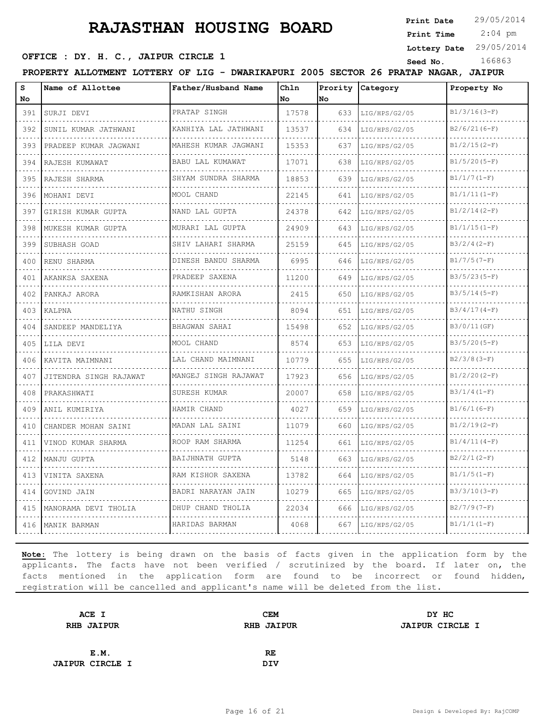**Print Date**

 2:04 pm **Print Time**

**Lottery Date** 29/05/2014

### **OFFICE : DY. H. C., JAIPUR CIRCLE 1** Seed No. 166863

**PROPERTY ALLOTMENT LOTTERY OF LIG - DWARIKAPURI 2005 SECTOR 26 PRATAP NAGAR, JAIPUR**

| S<br>No                                                                                                                          | Name of Allottee       | Father/Husband Name                | Chln<br>No | Prority<br>No | Category           | Property No     |
|----------------------------------------------------------------------------------------------------------------------------------|------------------------|------------------------------------|------------|---------------|--------------------|-----------------|
| 391                                                                                                                              | SURJI DEVI             | PRATAP SINGH                       | 17578      | 633           | LIG/HPS/G2/05      | $B1/3/16(3-F)$  |
| 392                                                                                                                              | SUNIL KUMAR JATHWANI   | .<br>KANHIYA LAL JATHWANI          | 13537      | 634           | .<br>LIG/HPS/G2/05 | $B2/6/21(6-F)$  |
| 393                                                                                                                              | PRADEEP KUMAR JAGWANI  | .<br>MAHESH KUMAR JAGWANI          | 15353      | 637           | LIG/HPS/G2/05      | $B1/2/15(2-F)$  |
| 394                                                                                                                              | RAJESH KUMAWAT         | BABU LAL KUMAWAT                   | 17071      | 638           | LIG/HPS/G2/05      | $B1/5/20(5-F)$  |
| $\frac{1}{2} \left( \frac{1}{2} \right) \left( \frac{1}{2} \right) \left( \frac{1}{2} \right) \left( \frac{1}{2} \right)$<br>395 | RAJESH SHARMA          | .<br>SHYAM SUNDRA SHARMA           | 18853      | 639           | LIG/HPS/G2/05      | $B1/1/7 (1-F)$  |
| 396                                                                                                                              | MOHANI DEVI            | MOOL CHAND                         | 22145      | 641           | LIG/HPS/G2/05      | $B1/1/11(1-F)$  |
| 397                                                                                                                              | GIRISH KUMAR GUPTA     | NAND LAL GUPTA                     | 24378      | 642           | LIG/HPS/G2/05      | $B1/2/14(2-F)$  |
| الداعات الداري<br>398                                                                                                            | MUKESH KUMAR GUPTA     | MURARI LAL GUPTA                   | 24909      | 643           | LIG/HPS/G2/05      | $B1/1/15(I-F)$  |
| 399                                                                                                                              | SUBHASH GOAD           | SHIV LAHARI SHARMA                 | 25159      | 645           | LIG/HPS/G2/05      | $B3/2/4(2-F)$   |
| 400                                                                                                                              | RENU SHARMA            | DINESH BANDU SHARMA                | 6995       | 646           | LIG/HPS/G2/05      | $B1/7/5(7-F)$   |
| $\sim$ $\sim$ $\sim$ $\sim$<br>401                                                                                               | AKANKSA SAXENA         | .<br>PRADEEP SAXENA                | 11200      | 649           | LIG/HPS/G2/05      | $B3/5/23(5-F)$  |
| 402                                                                                                                              | PANKAJ ARORA           | RAMKISHAN ARORA                    | 2415       | 650           | LIG/HPS/G2/05      | $B3/5/14(5-F)$  |
| 403                                                                                                                              | KALPNA                 | NATHU SINGH<br>and a strategic and | 8094       | 651           | LIG/HPS/G2/05      | $B3/4/17(4-F)$  |
| $\frac{1}{2} \left( \frac{1}{2} \right) \left( \frac{1}{2} \right) \left( \frac{1}{2} \right) \left( \frac{1}{2} \right)$<br>404 | SANDEEP MANDELIYA      | BHAGWAN SAHAI                      | 15498      | 652           | LIG/HPS/G2/05      | B3/0/11(GF)     |
| 405                                                                                                                              | LILA DEVI              | MOOL CHAND                         | 8574       | 653           | LIG/HPS/G2/05      | $B3/5/20(5-F)$  |
| 406                                                                                                                              | KAVITA MAIMNANI        | LAL CHAND MAIMNANI                 | 10779      | 655           | LIG/HPS/G2/05      | $B2/3/8(3-F)$   |
| 407                                                                                                                              | JITENDRA SINGH RAJAWAT | MANGEJ SINGH RAJAWAT               | 17923      | 656           | LIG/HPS/G2/05      | $B1/2/20 (2-F)$ |
| 408                                                                                                                              | PRAKASHWATI            | SURESH KUMAR                       | 20007      | 658           | LIG/HPS/G2/05      | $B3/1/4(1-F)$   |
| 409                                                                                                                              | ANIL KUMIRIYA          | HAMIR CHAND                        | 4027       | 659           | LIG/HPS/G2/05      | $B1/6/1(6-F)$   |
| 410                                                                                                                              | CHANDER MOHAN SAINI    | MADAN LAL SAINI                    | 11079      | 660           | LIG/HPS/G2/05      | $B1/2/19(2-F)$  |
| - - - -<br>411                                                                                                                   | VINOD KUMAR SHARMA     | ROOP RAM SHARMA                    | 11254      | 661           | LIG/HPS/G2/05      | $B1/4/11(4-F)$  |
| 412                                                                                                                              | MANJU GUPTA            | BAIJHNATH GUPTA                    | 5148       | 663           | LIG/HPS/G2/05      | $B2/2/1(2-F)$   |
| 413                                                                                                                              | VINITA SAXENA          | RAM KISHOR SAXENA                  | 13782      | 664           | LIG/HPS/G2/05      | $B1/1/5(I-F)$   |
| 414                                                                                                                              | GOVIND JAIN            | BADRI NARAYAN JAIN                 | 10279      | 665           | LIG/HPS/G2/05      | $B3/3/10(3-F)$  |
| 415                                                                                                                              | MANORAMA DEVI THOLIA   | DHUP CHAND THOLIA                  | 22034      | 666           | LIG/HPS/G2/05      | $B2/7/9(7-F)$   |
|                                                                                                                                  | 416   MANIK BARMAN     | HARIDAS BARMAN                     | 4068       | 667           | LIG/HPS/G2/05      | $B1/1/1(I-F)$   |

| ACE I                  | <b>CEM</b>        | DY HC                  |
|------------------------|-------------------|------------------------|
| <b>RHB JAIPUR</b>      | <b>RHB JAIPUR</b> | <b>JAIPUR CIRCLE I</b> |
|                        |                   |                        |
| E.M.                   | RE                |                        |
| <b>JAIPUR CIRCLE I</b> | <b>DIV</b>        |                        |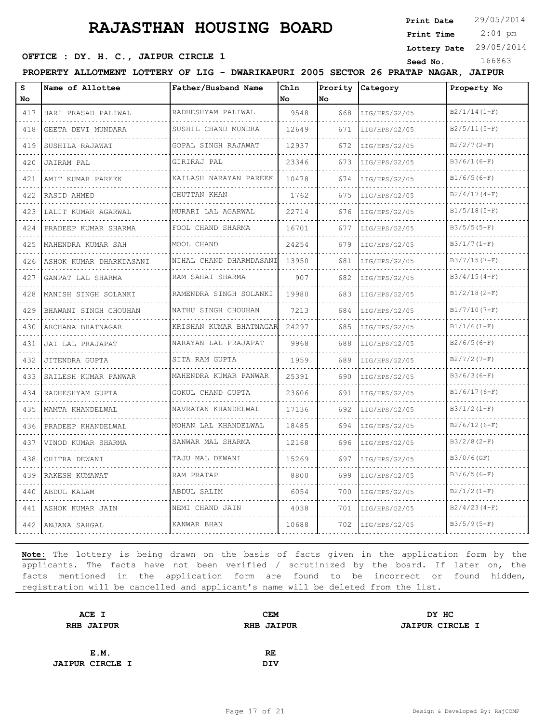**Print Date**

 2:04 pm **Print Time**

### **Lottery Date** 29/05/2014

### **SEED OFFICE : DY. H. C., JAIPUR CIRCLE 1** Seed No. 166863

**PROPERTY ALLOTMENT LOTTERY OF LIG - DWARIKAPURI 2005 SECTOR 26 PRATAP NAGAR, JAIPUR**

| S<br>No             | Name of Allottee        | Father/Husband Name       | Chln<br>No | No  | Prority Category | Property No    |
|---------------------|-------------------------|---------------------------|------------|-----|------------------|----------------|
| 417                 | HARI PRASAD PALIWAL     | RADHESHYAM PALIWAL        | 9548       | 668 | LIG/HPS/G2/05    | $B2/1/14(1-F)$ |
| 418                 | GEETA DEVI MUNDARA      | SUSHIL CHAND MUNDRA       | 12649      | 671 | LIG/HPS/G2/05    | $B2/5/11(5-F)$ |
| 419                 | SUSHILA RAJAWAT         | GOPAL SINGH RAJAWAT       | 12937      | 672 | LIG/HPS/G2/05    | $B2/2/7(2-F)$  |
| 420                 | <b>JAIRAM PAL</b>       | GIRIRAJ PAL               | 23346      | 673 | LIG/HPS/G2/05    | $B3/6/1(6-F)$  |
| 421                 | AMIT KUMAR PAREEK       | KAILASH NARAYAN PAREEK    | 10478      | 674 | LIG/HPS/G2/05    | $B1/6/5(6-F)$  |
| 422                 | <b>RASID AHMED</b>      | CHUTTAN KHAN              | 1762       | 675 | LIG/HPS/G2/05    | $B2/4/17(4-F)$ |
| 423                 | LALIT KUMAR AGARWAL     | MURARI LAL AGARWAL        | 22714      | 676 | LIG/HPS/G2/05    | $B1/5/18(5-F)$ |
| 424                 | PRADEEP KUMAR SHARMA    | FOOL CHAND SHARMA         | 16701      | 677 | LIG/HPS/G2/05    | $B3/5/5(5-F)$  |
| 425                 | MAHENDRA KUMAR SAH      | MOOL CHAND                | 24254      | 679 | LIG/HPS/G2/05    | $B3/1/7(1-F)$  |
| 426                 | ASHOK KUMAR DHARKDASANI | NIHAL CHAND DHARMDASANI   | 13950      | 681 | LIG/HPS/G2/05    | $B3/7/15(7-F)$ |
| 427                 | GANPAT LAL SHARMA       | RAM SAHAI SHARMA          | 907        | 682 | LIG/HPS/G2/05    | $B3/4/15(4-F)$ |
| and the con-<br>428 | MANISH SINGH SOLANKI    | RAMENDRA SINGH SOLANKI    | 19980      | 683 | LIG/HPS/G2/05    | $B1/2/18(2-F)$ |
| 429                 | BHAWANI SINGH CHOUHAN   | NATHU SINGH CHOUHAN       | 7213       | 684 | LIG/HPS/G2/05    | $B1/7/10(7-F)$ |
| 430                 | ARCHANA BHATNAGAR       | KRISHAN KUMAR BHATNAGAR   | 24297      | 685 | LIG/HPS/G2/05    | $B1/1/6(1-F)$  |
| 431                 | JAI LAL PRAJAPAT<br>.   | NARAYAN LAL PRAJAPAT<br>. | 9968       | 688 | LIG/HPS/G2/05    | $B2/6/5(6-F)$  |
| 432                 | JITENDRA GUPTA          | SITA RAM GUPTA            | 1959       | 689 | LIG/HPS/G2/05    | $B2/7/2(7-F)$  |
| 433                 | SAILESH KUMAR PANWAR    | MAHENDRA KUMAR PANWAR     | 25391      | 690 | LIG/HPS/G2/05    | $B3/6/3(6-F)$  |
| 434                 | RADHESHYAM GUPTA        | GOKUL CHAND GUPTA         | 23606      | 691 | LIG/HPS/G2/05    | $B1/6/17(6-F)$ |
| 435                 | MAMTA KHANDELWAL        | NAVRATAN KHANDELWAL       | 17136      | 692 | LIG/HPS/G2/05    | $B3/1/2 (1-F)$ |
| 436                 | PRADEEP KHANDELWAL      | MOHAN LAL KHANDELWAL      | 18485      | 694 | LIG/HPS/G2/05    | $B2/6/12(6-F)$ |
| 437                 | VINOD KUMAR SHARMA      | SANWAR MAL SHARMA         | 12168      | 696 | LIG/HPS/G2/05    | $B3/2/8 (2-F)$ |
| 438                 | CHITRA DEWANI           | TAJU MAL DEWANI           | 15269      | 697 | LIG/HPS/G2/05    | B3/0/6(GF)     |
| 439                 | RAKESH KUMAWAT          | RAM PRATAP                | 8800       | 699 | LIG/HPS/G2/05    | $B3/6/5(6-F)$  |
| 440                 | ABDUL KALAM             | ABDUL SALIM               | 6054       | 700 | LIG/HPS/G2/05    | $B2/1/2(I-F)$  |
| 441                 | ASHOK KUMAR JAIN        | NEMI CHAND JAIN           | 4038       | 701 | LIG/HPS/G2/05    | $B2/4/23(4-F)$ |
| 442                 | ANJANA SAHGAL           | KANWAR BHAN               | 10688      | 702 | LIG/HPS/G2/05    | $B3/5/9(5-F)$  |

| ACE I                  | <b>CEM</b>        | DY HC                  |
|------------------------|-------------------|------------------------|
| <b>RHB JAIPUR</b>      | <b>RHB JAIPUR</b> | <b>JAIPUR CIRCLE I</b> |
|                        |                   |                        |
| E.M.                   | RE                |                        |
| <b>JAIPUR CIRCLE I</b> | <b>DIV</b>        |                        |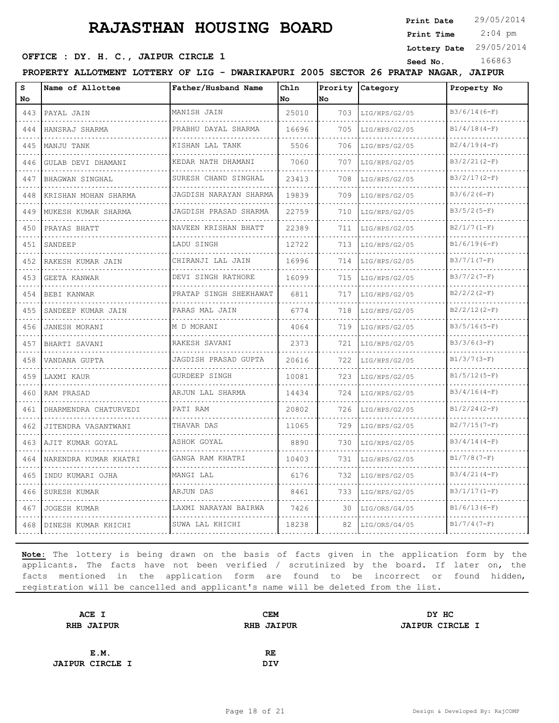**Print Date**

 2:04 pm **Print Time**

**Lottery Date** 29/05/2014

### **SEED OFFICE : DY. H. C., JAIPUR CIRCLE 1** Seed No. 166863

**PROPERTY ALLOTMENT LOTTERY OF LIG - DWARIKAPURI 2005 SECTOR 26 PRATAP NAGAR, JAIPUR**

| s<br>No | Name of Allottee      | Father/Husband Name         | Chln<br><b>No</b> | Prority<br>No. | Category           | Property No    |
|---------|-----------------------|-----------------------------|-------------------|----------------|--------------------|----------------|
| 443     | PAYAL JAIN            | MANISH JAIN                 | 25010             | 703            | LIG/HPS/G2/05      | $B3/6/14(6-F)$ |
| 444     | .<br>HANSRAJ SHARMA   | PRABHU DAYAL SHARMA         | 16696             | 705            | .<br>LIG/HPS/G2/05 | $B1/4/18(4-F)$ |
| 445     | MANJU TANK            | .<br>KISHAN LAL TANK        | 5506              | 706            | LIG/HPS/G2/05      | $B2/4/19(4-F)$ |
| 446     | GULAB DEVI DHAMANI    | KEDAR NATH DHAMANI          | 7060              | 707            | LIG/HPS/G2/05      | $B3/2/21(2-F)$ |
| 447     | BHAGWAN SINGHAL       | .<br>SURESH CHAND SINGHAL   | 23413             | 708            | LIG/HPS/G2/05      | $B3/2/17(2-F)$ |
| 448     | KRISHAN MOHAN SHARMA  | .<br>JAGDISH NARAYAN SHARMA | 19839             | 709            | LIG/HPS/G2/05      | $B3/6/2(6-F)$  |
| 449     | MUKESH KUMAR SHARMA   | JAGDISH PRASAD SHARMA<br>.  | 22759             | 710            | LIG/HPS/G2/05      | $B3/5/2 (5-F)$ |
| 450     | PRAYAS BHATT          | NAVEEN KRISHAN BHATT        | 22389             | 711            | LIG/HPS/G2/05      | $B2/1/7(1-F)$  |
| 451     | SANDEEP               | LADU SINGH                  | 12722             | 713            | LIG/HPS/G2/05      | $B1/6/19(6-F)$ |
| 452     | RAKESH KUMAR JAIN     | CHIRANJI LAL JAIN<br>.      | 16996             | 714            | LIG/HPS/G2/05      | $B3/7/1(7-F)$  |
| 453     | GEETA KANWAR          | DEVI SINGH RATHORE          | 16099             | 715            | LIG/HPS/G2/05      | $B3/7/2(7-F)$  |
| 454     | BEBI KANWAR           | .<br>PRATAP SINGH SHEKHAWAT | 6811              | 717            | LIG/HPS/G2/05      | $B2/2/2(2-F)$  |
| 455     | SANDEEP KUMAR JAIN    | PARAS MAL JAIN<br>.         | 6774              | 718            | LIG/HPS/G2/05<br>. | $B2/2/12(2-F)$ |
| 456     | JANESH MORANI         | M D MORANI                  | 4064              | 719            | LIG/HPS/G2/05      | $B3/5/16(5-F)$ |
| 457     | BHARTI SAVANI         | RAKESH SAVANI               | 2373              | 721            | LIG/HPS/G2/05      | $B3/3/6(3-F)$  |
| 458     | VANDANA GUPTA         | JAGDISH PRASAD GUPTA<br>.   | 20616             | 722            | LIG/HPS/G2/05      | $B1/3/7(3-F)$  |
| 459     | LAXMI KAUR            | GURDEEP SINGH               | 10081             | 723            | LIG/HPS/G2/05      | $B1/5/12(5-F)$ |
| 460     | RAM PRASAD            | ARJUN LAL SHARMA            | 14434             | 724            | LIG/HPS/G2/05      | $B3/4/16(4-F)$ |
| 461     | DHARMENDRA CHATURVEDI | PATI RAM                    | 20802             | 726            | LIG/HPS/G2/05      | $B1/2/24(2-F)$ |
| 462     | JITENDRA VASANTWANI   | THAVAR DAS                  | 11065             | 729            | .<br>LIG/HPS/G2/05 | $B2/7/15(7-F)$ |
| 463     | AJIT KUMAR GOYAL      | ASHOK GOYAL                 | 8890              | 730            | LIG/HPS/G2/05      | $B3/4/14(4-F)$ |
| 464     | NARENDRA KUMAR KHATRI | GANGA RAM KHATRI            | 10403             | 731            | LIG/HPS/G2/05      | $B1/7/8(7-F)$  |
| 465     | INDU KUMARI OJHA      | MANGI LAL                   | 6176              | 732            | LIG/HPS/G2/05      | $B3/4/21(4-F)$ |
| 466     | SURESH KUMAR          | ARJUN DAS                   | 8461              | 733            | LIG/HPS/G2/05      | $B3/1/17(1-F)$ |
| 467     | <b>JOGESH KUMAR</b>   | LAXMI NARAYAN BAIRWA        | 7426              | 30             | LIG/ORS/G4/05      | $B1/6/13(6-F)$ |
| 468     | DINESH KUMAR KHICHI   | SUWA LAL KHICHI             | 18238             | 82             | LIG/ORS/G4/05      | $B1/7/4(7-F)$  |

| ACE I                  | <b>CEM</b>        | DY HC                  |
|------------------------|-------------------|------------------------|
| <b>RHB JAIPUR</b>      | <b>RHB JAIPUR</b> | <b>JAIPUR CIRCLE I</b> |
|                        |                   |                        |
| E.M.                   | RE                |                        |
| <b>JAIPUR CIRCLE I</b> | <b>DIV</b>        |                        |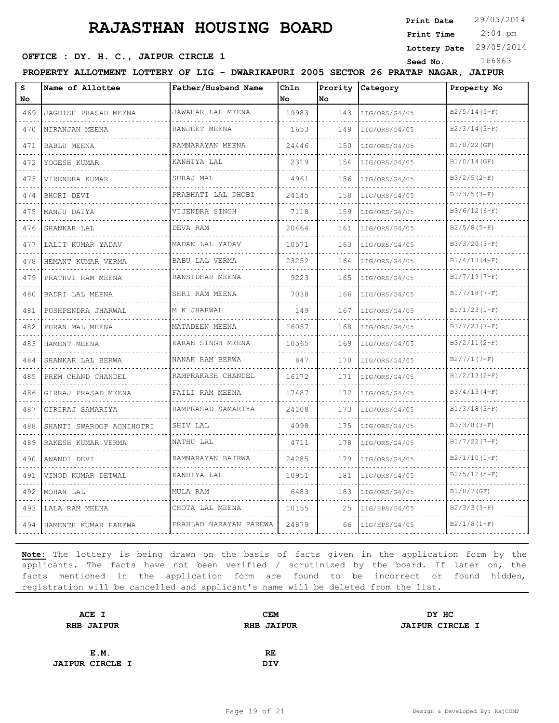**Print Date**

 2:04 pm **Print Time**

**Lottery Date** 29/05/2014

### **SEED OFFICE : DY. H. C., JAIPUR CIRCLE 1** Seed No. 166863

**PROPERTY ALLOTMENT LOTTERY OF LIG - DWARIKAPURI 2005 SECTOR 26 PRATAP NAGAR, JAIPUR**

| s                                  | Name of Allottee         | Father/Husband Name                  | Chln  | Prority | Category      | Property No     |
|------------------------------------|--------------------------|--------------------------------------|-------|---------|---------------|-----------------|
| No.                                |                          |                                      | No    | No      |               |                 |
| 469                                | JAGDISH PRASAD MEENA     | JAWAHAR LAL MEENA                    | 19983 | 143     | LIG/ORS/G4/05 | $B2/5/14(5-F)$  |
| 470                                | NIRANJAN MEENA           | RANJEET MEENA                        | 1653  | 149     | LIG/ORS/G4/05 | $B2/3/14(3-F)$  |
| 471                                | <b>BABLU MEENA</b>       | RAMNARAYAN MEENA                     | 24446 | 150     | LIG/ORS/G4/05 | B1/0/22(GF)     |
| 472                                | YOGESH KUMAR             | KANHIYA LAL                          | 2319  | 154     | LIG/ORS/G4/05 | B1/0/14(GF)     |
| 473                                | VIRENDRA KUMAR           | SURAJ MAL                            | 4961  | 156     | LIG/ORS/G4/05 | $B3/2/5(2-F)$   |
| 474                                | BHORI DEVI               | PRABHATI LAL DHOBI                   | 24145 | 158     | LIG/ORS/G4/05 | $B3/3/5(3-F)$   |
| 475<br>$\sim$ $\sim$ $\sim$        | MANJU DAIYA              | VIJENDRA SINGH                       | 7118  | 159     | LIG/ORS/G4/05 | $B3/6/12(6-F)$  |
| 476                                | SHANKAR LAL              | DEVA RAM                             | 20464 | 161     | LIG/ORS/G4/05 | $B2/5/8(5-F)$   |
| 477                                | LALIT KUMAR YADAV        | MADAN LAL YADAV                      | 10571 | 163     | LIG/ORS/G4/05 | $B3/3/20 (3-F)$ |
| 478<br>$\sim$ $\sim$ $\sim$ $\sim$ | HEMANT KUMAR VERMA       | <b>BABU LAL VERMA</b><br>.           | 23252 | 164     | LIG/ORS/G4/05 | $B1/4/13(4-F)$  |
| 479                                | PRATHVI RAM MEENA        | BANSIDHAR MEENA                      | 9223  | 165     | LIG/ORS/G4/05 | $B1/7/19(7-F)$  |
| 480                                | BADRI LAL MEENA          | SHRI RAM MEENA                       | 7038  | 166     | LIG/ORS/G4/05 | $B1/7/18(7-F)$  |
| 481                                | PUSHPENDRA JHARWAL       | M K JHARWAL<br>and a strategic and a | 149   | 167     | LIG/ORS/G4/05 | $B1/1/23(1-F)$  |
| 482                                | PURAN MAL MEENA          | MATADEEN MEENA                       | 16057 | 168     | LIG/ORS/G4/05 | $B3/7/23(7-F)$  |
| 483                                | HAMENT MEENA             | KARAN SINGH MEENA                    | 10565 | 169     | LIG/ORS/G4/05 | $B3/2/11(2-F)$  |
| 484                                | SHANKAR LAL BERWA        | NANAK RAM BERWA                      | 847   | 170     | LIG/ORS/G4/05 | $B2/7/1(7-F)$   |
| 485                                | PREM CHAND CHANDEL       | RAMPRAKASH CHANDEL                   | 16172 | 171     | LIG/ORS/G4/05 | $B1/2/13(2-F)$  |
| 486                                | GIRRAJ PRASAD MEENA      | FAILI RAM MEENA                      | 17487 | 172     | LIG/ORS/G4/05 | $B3/4/13(4-F)$  |
| 487                                | GIRIRAJ SAMARIYA         | RAMPRASAD SAMARIYA                   | 24108 | 173     | LIG/ORS/G4/05 | $B1/3/18(3-F)$  |
| 488                                | SHANTI SWAROOP AGNIHOTRI | SHIV LAL                             | 4098  | 175     | LIG/ORS/G4/05 | $B3/3/8 (3-F)$  |
| 489                                | RAKESH KUMAR VERMA       | NATHU LAL                            | 4711  | 178     | LIG/ORS/G4/05 | $B1/7/22(7-F)$  |
| 490                                | ANANDI DEVI              | RAMNARAYAN BAIRWA                    | 24285 | 179     | LIG/ORS/G4/05 | $B2/1/10(I-F)$  |
| 491                                | VINOD KUMAR DETWAL       | KANHIYA LAL                          | 10951 | 181     | LIG/ORS/G4/05 | $B2/5/12(5-F)$  |
| 492                                | MOHAN LAL                | MULA RAM                             | 6483  | 183     | LIG/ORS/G4/05 | B1/0/7(GF)      |
| 493                                | LALA RAM MEENA           | CHOTA LAL MEENA                      | 10155 | 25      | LIG/HPS/G4/05 | $B2/3/3(3-F)$   |
| 494                                | HAMENTH KUMAR PAREWA     | PRAHLAD NARAYAN PAREWA               | 24879 | 66      | LIG/HPS/G4/05 | $B2/1/8(1-F)$   |

| ACE I                  | <b>CEM</b>        | DY HC                  |
|------------------------|-------------------|------------------------|
| <b>RHB JAIPUR</b>      | <b>RHB JAIPUR</b> | <b>JAIPUR CIRCLE I</b> |
|                        |                   |                        |
| E.M.                   | RE.               |                        |
| <b>JAIPUR CIRCLE I</b> | <b>DIV</b>        |                        |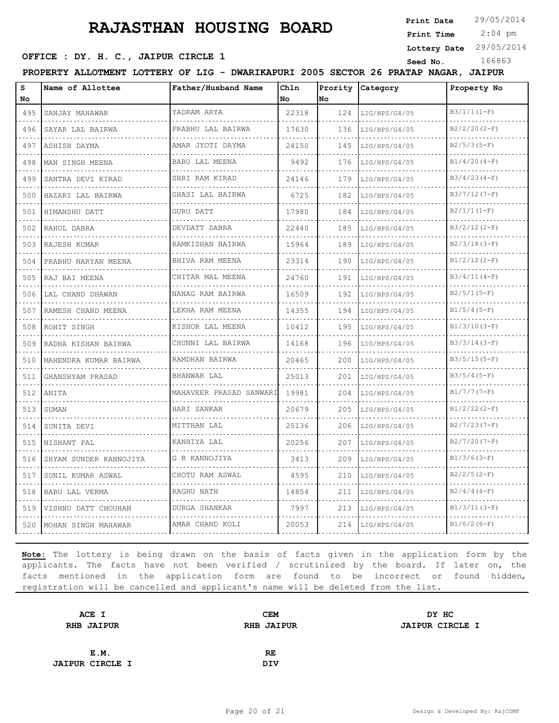**Print Date**

 2:04 pm **Print Time**

**Lottery Date** 29/05/2014

### **OFFICE : DY. H. C., JAIPUR CIRCLE 1** Seed No. 166863

**PROPERTY ALLOTMENT LOTTERY OF LIG - DWARIKAPURI 2005 SECTOR 26 PRATAP NAGAR, JAIPUR**

| s<br>No  | Name of Allottee           | Father/Husband Name     | Chln<br>No. | No  | Prority Category | Property No    |
|----------|----------------------------|-------------------------|-------------|-----|------------------|----------------|
| 495      | SANJAY MAHAWAR             | YADRAM ARYA             | 22318       | 124 | LIG/HPS/G4/05    | $B3/1/1(I-F)$  |
| 496      | SAYAR LAL BAIRWA           | PRABHU LAL BAIRWA       | 17630       | 136 | LIG/HPS/G4/05    | $B2/2/20(2-F)$ |
| 497      | ASHISH DAYMA               | AMAR JYOTI DAYMA        | 24150       | 145 | LIG/HPS/G4/05    | $B2/5/3(5-F)$  |
| 498      | MAN SINGH MEENA            | BABU LAL MEENA          | 9492        | 176 | LIG/HPS/G4/05    | $B1/4/20(4-F)$ |
| 499      | SANTRA DEVI KIRAD          | SHRI RAM KIRAD          | 24146       | 179 | LIG/HPS/G4/05    | $B3/4/23(4-F)$ |
| 500      | HAZARI LAL BAIRWA          | GHASI LAL BAIRWA        | 6725        | 182 | LIG/HPS/G4/05    | $B3/7/12(7-F)$ |
| 501      | HIMANSHU DATT              | GURU DATT               | 17980       | 184 | LIG/HPS/G4/05    | $B2/1/1(I-F)$  |
| 502      | RAHUL DABRA                | DEVDATT DABRA           | 22440       | 185 | LIG/HPS/G4/05    | $B3/2/12(2-F)$ |
| 503      | RAJESH KUMAR               | RAMKISHAN BAIRWA        | 15964       | 189 | LIG/HPS/G4/05    | $B2/3/18(3-F)$ |
| 504      | PRABHU NARYAN MEENA        | .<br>BHIVA RAM MEENA    | 23314       | 190 | LIG/HPS/G4/05    | $B1/2/12(2-F)$ |
| 505      | RAJ BAI MEENA              | CHITAR MAL MEENA        | 24760       | 191 | LIG/HPS/G4/05    | $B3/4/11(4-F)$ |
| 506      | LAL CHAND DHAWAN           | NANAG RAM BAIRWA        | 16509       | 192 | LIG/HPS/G4/05    | $B2/5/1(5-F)$  |
| 507      | RAMESH CHAND MEENA         | .<br>LEKHA RAM MEENA    | 14355       | 194 | LIG/HPS/G4/05    | $B1/5/4(5-F)$  |
| 508      | ROHIT SINGH                | KISHOR LAL MEENA        | 10412       | 195 | LIG/HPS/G4/05    | $B1/3/10(3-F)$ |
| 509      | RADHA KISHAN BAIRWA        | CHUNNI LAL BAIRWA       | 14168       | 196 | LIG/HPS/G4/05    | $B3/3/14(3-F)$ |
| 510      | .<br>MAHENDRA KUMAR BAIRWA | RAMDHAN BAIRWA          | 20465       | 200 | LIG/HPS/G4/05    | $B3/5/15(5-F)$ |
| 511      | GHANSHYAM PRASAD           | BHANWAR LAL             | 25013       | 201 | LIG/HPS/G4/05    | $B3/5/4(5-F)$  |
| .<br>512 | ANITA                      | MAHAVEER PRASAD SANWARI | 19981       | 204 | LIG/HPS/G4/05    | $B1/7/7(T-F)$  |
| 513      | SUMAN                      | HARI SANKAR             | 20679       | 205 | LIG/HPS/G4/05    | $B1/2/22(2-F)$ |
| 514      | SUNITA DEVI                | MITTHAN LAL             | 25136       | 206 | LIG/HPS/G4/05    | $B2/7/23(7-F)$ |
| 515      | NISHANT PAL                | KANHIYA LAL             | 20256       | 207 | LIG/HPS/G4/05    | $B2/7/20(7-F)$ |
| 516      | SHYAM SUNDER KANNOJIYA     | G R KANNOJIYA           | 3413        | 209 | LIG/HPS/G4/05    | $B1/3/6(3-F)$  |
| 517      | SUNIL KUMAR ASWAL          | CHOTU RAM ASWAL         | 4595        | 210 | LIG/HPS/G4/05    | $B2/2/5(2-F)$  |
| 518      | BABU LAL VERMA             | RAGHU NATH              | 14854       | 211 | LIG/HPS/G4/05    | $B2/4/4(4-F)$  |
| 519      | VISHNU DATT CHOUHAN        | DURGA SHANKAR           | 7997        | 213 | LIG/HPS/G4/05    | $B1/3/11(3-F)$ |
| 520      | MOHAN SINGH MAHAWAR        | AMAR CHAND KOLI         | 20053       | 214 | LIG/HPS/G4/05    | $B1/6/2(6-F)$  |

| ACE I                  | <b>CEM</b>        | DY HC                  |
|------------------------|-------------------|------------------------|
| <b>RHB JAIPUR</b>      | <b>RHB JAIPUR</b> | <b>JAIPUR CIRCLE I</b> |
|                        |                   |                        |
| E.M.                   | RE                |                        |
| <b>JAIPUR CIRCLE I</b> | <b>DIV</b>        |                        |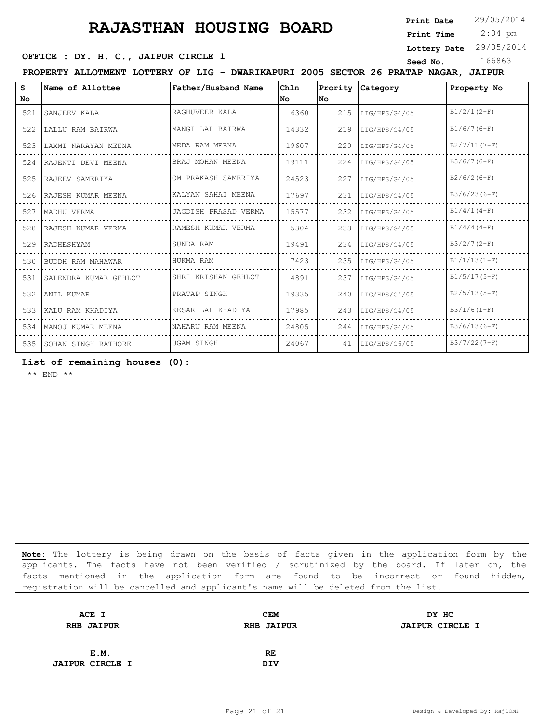**Print Date**

 2:04 pm **Print Time**

**Lottery Date** 29/05/2014

### **OFFICE : DY. H. C., JAIPUR CIRCLE 1** Seed No. 166863

| PROPERTY ALLOTMENT LOTTERY OF LIG - DWARIKAPURI 2005 SECTOR 26 PRATAP NAGAR, JAIPUR |                           |                      |       |      |                  |                |  |
|-------------------------------------------------------------------------------------|---------------------------|----------------------|-------|------|------------------|----------------|--|
| s                                                                                   | Name of Allottee          | Father/Husband Name  | Chln  |      | Prority Category | Property No    |  |
| No.                                                                                 |                           |                      | l No  | lNo. |                  |                |  |
| 521                                                                                 | SANJEEV KALA              | RAGHUVEER KALA       | 6360  | 215  | LIG/HPS/G4/05    | $B1/2/1(2-F)$  |  |
| 522                                                                                 | LALLU RAM BAIRWA          | MANGI LAL BAIRWA     | 14332 | 219  | LIG/HPS/G4/05    | $B1/6/7(6-F)$  |  |
| 523                                                                                 | LAXMI NARAYAN MEENA       | MEDA RAM MEENA       | 19607 | 220  | LIG/HPS/G4/05    | $B2/7/11(7-F)$ |  |
|                                                                                     | 524 RAJENTI DEVI MEENA    | BRAJ MOHAN MEENA     | 19111 | 224  | LIG/HPS/G4/05    | $B3/6/7(6-F)$  |  |
|                                                                                     | 525 RAJEEV SAMERIYA       | OM PRAKASH SAMERIYA  | 24523 | 227  | LIG/HPS/G4/05    | $B2/6/2(6-F)$  |  |
|                                                                                     | 526 RAJESH KUMAR MEENA    | KALYAN SAHAI MEENA   | 17697 | 231  | LIG/HPS/G4/05    | $B3/6/23(6-F)$ |  |
| 527                                                                                 | MADHU VERMA               | JAGDISH PRASAD VERMA | 15577 | 232  | LIG/HPS/G4/05    | $B1/4/1(4-F)$  |  |
|                                                                                     | 528 RAJESH KUMAR VERMA    | RAMESH KUMAR VERMA   | 5304  | 233  | LIG/HPS/G4/05    | $B1/4/4(4-F)$  |  |
|                                                                                     | 529 RADHESHYAM            | SUNDA RAM            | 19491 | 234  | LIG/HPS/G4/05    | $B3/2/7(2-F)$  |  |
|                                                                                     | 530 BUDDH RAM MAHAWAR     | HUKMA RAM            | 7423  | 235  | LIG/HPS/G4/05    | $B1/1/13(I-F)$ |  |
|                                                                                     | 531 SALENDRA KUMAR GEHLOT | SHRI KRISHAN GEHLOT  | 4891  | 237  | LIG/HPS/G4/05    | $B1/5/17(5-F)$ |  |
|                                                                                     | 532 ANIL KUMAR            | PRATAP SINGH         | 19335 | 240  | LIG/HPS/G4/05    | $B2/5/13(5-F)$ |  |
|                                                                                     | 533 KALU RAM KHADIYA      | KESAR LAL KHADIYA    | 17985 | 243  | LIG/HPS/G4/05    | $B3/1/6(1-F)$  |  |
|                                                                                     | 534 MANOJ KUMAR MEENA     | NAHARU RAM MEENA     | 24805 | 244  | LIG/HPS/G4/05    | $B3/6/13(6-F)$ |  |
|                                                                                     | 535 SOHAN SINGH RATHORE   | UGAM SINGH           | 24067 | 41   | LIG/HPS/G6/05    | $B3/7/22(7-F)$ |  |

**List of remaining houses (0):** 

\*\* END \*\*

| ACE I                  | <b>CEM</b>        | DY HC                  |  |
|------------------------|-------------------|------------------------|--|
| <b>RHB JAIPUR</b>      | <b>RHB JAIPUR</b> | <b>JAIPUR CIRCLE I</b> |  |
|                        |                   |                        |  |
| E.M.                   | RE.               |                        |  |
| <b>JAIPUR CIRCLE I</b> | <b>DIV</b>        |                        |  |
|                        |                   |                        |  |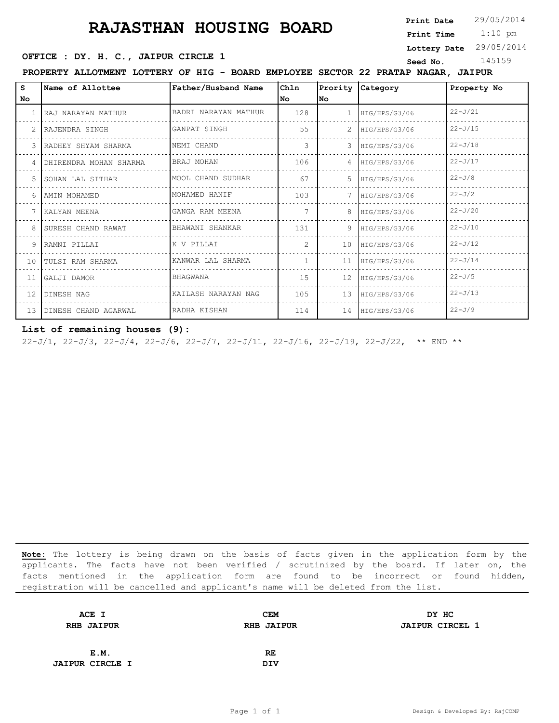**Print Date**

 1:10 pm **Print Time**

**Lottery Date** 29/05/2014

### **OFFICE : DY. H. C., JAIPUR CIRCLE 1** Seed No. 145159

**PROPERTY ALLOTMENT LOTTERY OF HIG - BOARD EMPLOYEE SECTOR 22 PRATAP NAGAR, JAIPUR**

| s                        | Name of Allottee       | Father/Husband Name  | Ch1n           | Prority        | Category      | Property No |
|--------------------------|------------------------|----------------------|----------------|----------------|---------------|-------------|
| No.                      |                        |                      | No             | lNo.           |               |             |
|                          | RAJ NARAYAN MATHUR     | BADRI NARAYAN MATHUR | 128            |                | HIG/HPS/G3/06 | $22 - J/21$ |
|                          | RAJENDRA SINGH         | GANPAT SINGH         | 55             |                | HIG/HPS/G3/06 | $22 - J/15$ |
| $\overline{\mathcal{E}}$ | RADHEY SHYAM SHARMA    | NEMI CHAND           | 3              | 3              | HIG/HPS/G3/06 | $22 - J/18$ |
| 4                        | DHIRENDRA MOHAN SHARMA | BRAJ MOHAN           | 106            | $\overline{4}$ | HIG/HPS/G3/06 | $22 - J/17$ |
|                          | 5 ISOHAN LAL SITHAR    | MOOL CHAND SUDHAR    | 67             | 5.             | HIG/HPS/G3/06 | $22 - J/8$  |
|                          | 6 LAMIN MOHAMED        | MOHAMED HANIF        | 103            |                | HIG/HPS/G3/06 | $22 - J/2$  |
|                          | 7 KALYAN MEENA         | GANGA RAM MEENA      |                | 8              | HIG/HPS/G3/06 | $22 - J/20$ |
|                          | 8 SURESH CHAND RAWAT   | BHAWANI SHANKAR      | 131            | 9              | HIG/HPS/G3/06 | $22 - J/10$ |
|                          | 9 RAMNI PILLAI         | K V PILLAI           | $\mathcal{L}$  | 10             | HIG/HPS/G3/06 | $22 - J/12$ |
|                          | 10 TULSI RAM SHARMA    | KANWAR LAL SHARMA    | $\overline{1}$ | 11             | HIG/HPS/G3/06 | $22 - J/14$ |
| 11                       | GALJI DAMOR            | <b>BHAGWANA</b>      | 1.5            | 12             | HIG/HPS/G3/06 | $22 - J/5$  |
| $12-1$                   | DINESH NAG             | KAILASH NARAYAN NAG  | 105            | 13             | HIG/HPS/G3/06 | $22 - J/13$ |
| 1.3                      | DINESH CHAND AGARWAL   | RADHA KISHAN         | 114            | 14             | HIG/HPS/G3/06 | $22 - J/9$  |

### **List of remaining houses (9):**

22-J/1, 22-J/3, 22-J/4, 22-J/6, 22-J/7, 22-J/11, 22-J/16, 22-J/19, 22-J/22, \*\* END \*\*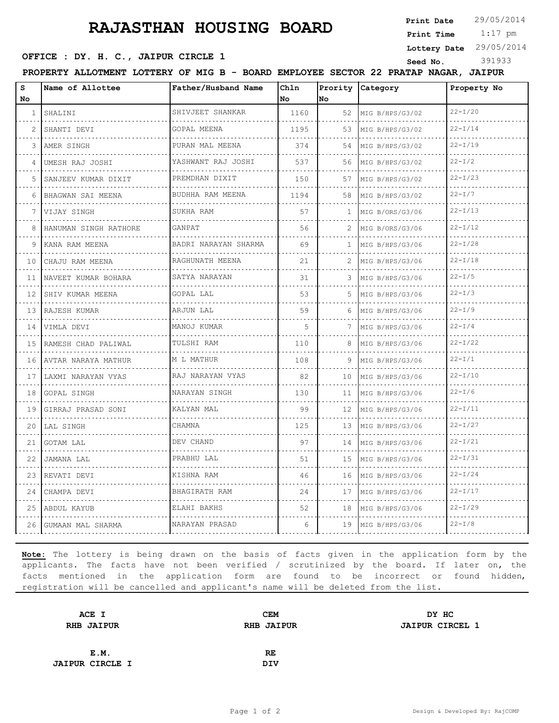**Print Date**

 1:17 pm **Print Time**

**Lottery Date** 29/05/2014

### **OFFICE : DY. H. C., JAIPUR CIRCLE 1** Seed No. 391933

**PROPERTY ALLOTMENT LOTTERY OF MIG B - BOARD EMPLOYEE SECTOR 22 PRATAP NAGAR, JAIPUR**

| S<br>No      | Name of Allottee         | Father/Husband Name                  | Chln<br>No | Prority<br>lno. | Category                    | Property No |
|--------------|--------------------------|--------------------------------------|------------|-----------------|-----------------------------|-------------|
| $\mathbf{1}$ | SHALINI                  | SHIVJEET SHANKAR                     | 1160       | 52              | MIG B/HPS/G3/02             | $22-T/20$   |
| 2            | SHANTI DEVI              | .<br>GOPAL MEENA                     | 1195       | 53              | .<br>MIG B/HPS/G3/02        | $22 - I/14$ |
| 3            | IAMER SINGH              | .<br>PURAN MAL MEENA                 | 374        | 54              | .<br>MIG B/HPS/G3/02        | $22 - I/19$ |
| 4            | UMESH RAJ JOSHI          | YASHWANT RAJ JOSHI<br>.              | 537        | 56              | MIG B/HPS/G3/02<br>.        | $22 - I/2$  |
| 5            | SANJEEV KUMAR DIXIT<br>. | PREMDHAN DIXIT<br>.                  | 150        | 57              | MIG B/HPS/G3/02<br>.        | $22 - I/23$ |
| 6            | BHAGWAN SAI MEENA        | BUDHHA RAM MEENA                     | 1194       | 58              | MIG B/HPS/G3/02             | $22 - I/7$  |
| 7            | VIJAY SINGH              | SUKHA RAM                            | 57         | 1               | MIG B/ORS/G3/06<br>.        | $22-T/13$   |
| 8            | HANUMAN SINGH RATHORE    | GANPAT                               | 56         | 2               | MIG B/ORS/G3/06<br>.        | $22-T/12$   |
| 9            | KANA RAM MEENA           | BADRI NARAYAN SHARMA                 | 69         | $\mathbf{1}$    | MIG B/HPS/G3/06             | $22-T/28$   |
| 10           | CHAJU RAM MEENA          | RAGHUNATH MEENA<br>.                 | 21         | 2               | MIG B/HPS/G3/06<br>.        | $22 - I/18$ |
| 11           | NAVEET KUMAR BOHARA      | SATYA NARAYAN<br>.                   | 31         | 3               | MIG B/HPS/G3/06<br>.        | $22 - I/5$  |
| 12           | SHIV KUMAR MEENA         | GOPAL LAL                            | 53         | 5               | MIG B/HPS/G3/06             | $22 - I/3$  |
| 13           | RAJESH KUMAR<br>.        | ARJUN LAL<br>.                       | 59         | 6               | MIG B/HPS/G3/06<br><u>.</u> | $22 - I/9$  |
| 14           | VIMLA DEVI               | MANOJ KUMAR                          | 5          | 7               | MIG B/HPS/G3/06             | $22 - I/4$  |
| 15           | RAMESH CHAD PALIWAL      | TULSHI RAM                           | 110        | 8               | MIG B/HPS/G3/06             | $22 - I/22$ |
| 16           | NAVTAR NARAYA MATHUR     | M L MATHUR                           | 108        | 9               | MIG B/HPS/G3/06<br>.        | $22 - I/1$  |
| 17           | LAXMI NARAYAN VYAS       | RAJ NARAYAN VYAS<br>.                | 82         | 10              | MIG B/HPS/G3/06             | $22 - I/10$ |
| 18           | GOPAL SINGH              | NARAYAN SINGH                        | 130        | 11              | MIG B/HPS/G3/06             | $22 - I/6$  |
| 19           | GIRRAJ PRASAD SONI       | KALYAN MAL                           | 99         | 12 <sup>°</sup> | MIG B/HPS/G3/06<br>.        | $22 - I/11$ |
| 20           | LAL SINGH                | CHAMNA                               | 125        | 13              | MIG B/HPS/G3/06             | $22 - I/27$ |
| 21           | GOTAM LAL                | DEV CHAND                            | 97         | 14              | MIG B/HPS/G3/06             | $22 - I/21$ |
| 22           | JAMANA LAL<br>.          | PRABHU LAL<br><u>.</u>               | 51         | 15              | MIG B/HPS/G3/06<br>.        | $22 - I/31$ |
| 23           | REVATI DEVI              | KISHNA RAM                           | 46         | 16              | MIG B/HPS/G3/06             | $22 - I/24$ |
| 24           | CHAMPA DEVI              | BHAGIRATH RAM                        | 2.4        | 17              | MIG B/HPS/G3/06             | $22 - I/17$ |
| 25           | ABDUL KAYUB              | ELAHI BAKHS<br>did did did did did . | 52         | 18              | MIG B/HPS/G3/06<br>.        | $22 - I/29$ |
| 26           | GUMAAN MAL SHARMA        | NARAYAN PRASAD                       | 6          | 19              | MIG B/HPS/G3/06             | $22 - I/8$  |

| ACE I                  | CEM               | DY HC                  |
|------------------------|-------------------|------------------------|
| <b>RHB JAIPUR</b>      | <b>RHB JAIPUR</b> | <b>JAIPUR CIRCEL 1</b> |
|                        |                   |                        |
| E.M.                   | RE                |                        |
| <b>JAIPUR CIRCLE I</b> | DIV               |                        |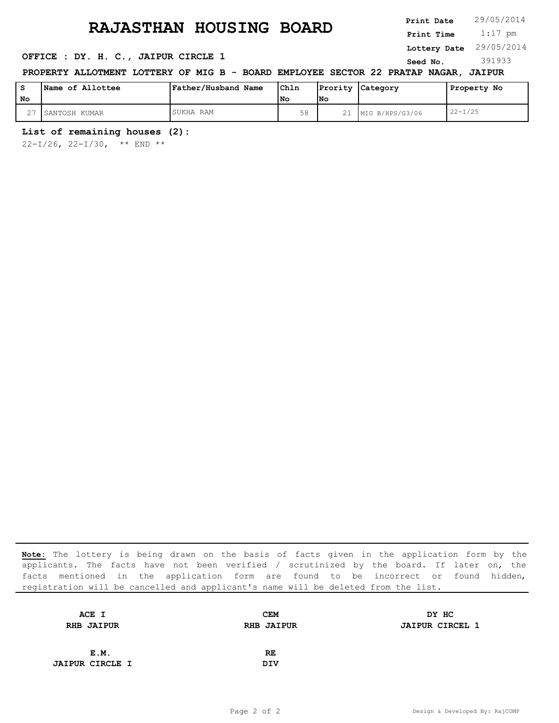1:17 pm **Print Date Print Time**

**Lottery Date** 29/05/2014

### **OFFICE : DY. H. C., JAIPUR CIRCLE 1** Seed No. 391933

### **PROPERTY ALLOTMENT LOTTERY OF MIG B - BOARD EMPLOYEE SECTOR 22 PRATAP NAGAR, JAIPUR**

| s      | Name of Allottee | Father/Husband Name | Ch1n |     | Prority Category | Property No |
|--------|------------------|---------------------|------|-----|------------------|-------------|
| No     |                  |                     | l No | lNo |                  |             |
| $\sim$ | SANTOSH KUMAR    | SUKHA RAM           | 58   |     | MIG B/HPS/G3/06  | $22-T/25$   |

### **List of remaining houses (2):**

22-I/26, 22-I/30, \*\* END \*\*

| ACE I                  | <b>CEM</b>        | DY HC                  |
|------------------------|-------------------|------------------------|
| <b>RHB JAIPUR</b>      | <b>RHB JAIPUR</b> | <b>JAIPUR CIRCEL 1</b> |
|                        |                   |                        |
| E.M.                   | RE.               |                        |
| <b>JAIPUR CIRCLE I</b> | <b>DIV</b>        |                        |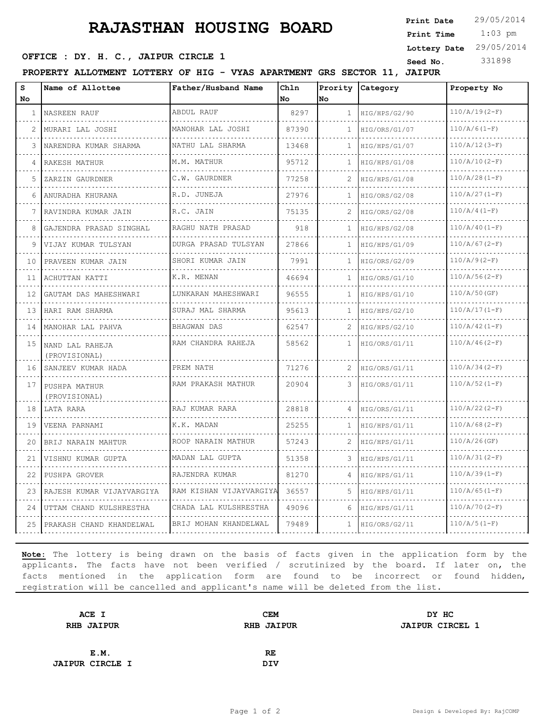1:03 pm **Print Date Print Time Lottery Date** 29/05/2014

### **OFFICE : DY. H. C., JAIPUR CIRCLE 1** Seed No. 331898

**PROPERTY ALLOTMENT LOTTERY OF HIG - VYAS APARTMENT GRS SECTOR 11, JAIPUR**

| s<br>No | Name of Allottee                 | Father/Husband Name     | Chln<br>No | Prority<br>lno. | Category      | Property No     |
|---------|----------------------------------|-------------------------|------------|-----------------|---------------|-----------------|
| 1       | NASREEN RAUF                     | ABDUL RAUF              | 8297       | 1               | HIG/HPS/G2/90 | $110/A/19(2-F)$ |
| 2       | .<br>MURARI LAL JOSHI            | MANOHAR LAL JOSHI       | 87390      | 1               | HIG/ORS/G1/07 | $110/A/6(1-F)$  |
| 3       | NARENDRA KUMAR SHARMA            | NATHU LAL SHARMA        | 13468      | 1               | HIG/HPS/G1/07 | $110/A/12(3-F)$ |
| 4       | RAKESH MATHUR                    | M.M. MATHUR             | 95712      | 1               | HIG/HPS/G1/08 | $110/A/10(2-F)$ |
| 5       | ZARZIN GAURDNER                  | C.W. GAURDNER           | 77258      | 2               | HIG/HPS/G1/08 | $110/A/28(1-F)$ |
| 6       | ANURADHA KHURANA                 | R.D. JUNEJA             | 27976      | 1               | HIG/ORS/G2/08 | $110/A/27(1-F)$ |
| 7       | RAVINDRA KUMAR JAIN              | R.C. JAIN               | 75135      | 2               | HIG/ORS/G2/08 | $110/A/4(1-F)$  |
| 8       | GAJENDRA PRASAD SINGHAL          | RAGHU NATH PRASAD       | 918        | $\mathbf{1}$    | HIG/HPS/G2/08 | $110/A/40(I-F)$ |
| 9       | VIJAY KUMAR TULSYAN              | DURGA PRASAD TULSYAN    | 27866      | 1               | HIG/HPS/G1/09 | $110/A/67(2-F)$ |
| 10      | PRAVEEN KUMAR JAIN               | SHORI KUMAR JAIN        | 7991       | 1               | HIG/ORS/G2/09 | $110/A/9(2-F)$  |
| 11      | ACHUTTAN KATTI                   | K.R. MENAN              | 46694      | 1               | HIG/ORS/G1/10 | $110/A/56(2-F)$ |
| 12      | GAUTAM DAS MAHESHWARI            | LUNKARAN MAHESHWARI     | 96555      | 1               | HIG/HPS/G1/10 | $110/A/50$ (GF) |
| 13      | HARI RAM SHARMA                  | SURAJ MAL SHARMA        | 95613      | 1               | HIG/HPS/G2/10 | $110/A/17(1-F)$ |
| 14      | MANOHAR LAL PAHVA                | BHAGWAN DAS             | 62547      | 2               | HIG/HPS/G2/10 | $110/A/42(1-F)$ |
| 15      | NAND LAL RAHEJA<br>(PROVISIONAL) | RAM CHANDRA RAHEJA      | 58562      | $\mathbf{1}$    | HIG/ORS/G1/11 | $110/A/46(2-F)$ |
| 16      | SANJEEV KUMAR HADA               | PREM NATH               | 71276      | 2               | HIG/ORS/G1/11 | $110/A/34(2-F)$ |
| 17      | PUSHPA MATHUR<br>(PROVISIONAL)   | RAM PRAKASH MATHUR      | 20904      | 3               | HIG/ORS/G1/11 | $110/A/52(1-F)$ |
| 18      | LATA RARA                        | RAJ KUMAR RARA          | 28818      | 4               | HIG/ORS/G1/11 | $110/A/22(2-F)$ |
| 19      | VEENA PARNAMI                    | K.K. MADAN              | 25255      | $\mathbf{1}$    | HIG/HPS/G1/11 | $110/A/68(2-F)$ |
| 20      | BRIJ NARAIN MAHTUR               | ROOP NARAIN MATHUR      | 57243      | 2               | HIG/HPS/G1/11 | $110/A/26$ (GF) |
| 21      | VISHNU KUMAR GUPTA               | MADAN LAL GUPTA         | 51358      | 3               | HIG/HPS/G1/11 | $110/A/31(2-F)$ |
| 22      | PUSHPA GROVER                    | RAJENDRA KUMAR          | 81270      | 4               | HIG/HPS/G1/11 | $110/A/39(1-F)$ |
| 23      | RAJESH KUMAR VIJAYVARGIYA        | RAM KISHAN VIJAYVARGIYA | 36557      | 5               | HIG/HPS/G1/11 | $110/A/65(I-F)$ |
| 24      | UTTAM CHAND KULSHRESTHA          | CHADA LAL KULSHRESTHA   | 49096      | 6               | HIG/HPS/G1/11 | $110/A/70(2-F)$ |
| 25      | PRAKASH CHAND KHANDELWAL         | BRIJ MOHAN KHANDELWAL   | 79489      | $\mathbf{1}$    | HIG/ORS/G2/11 | $110/A/5(1-F)$  |

| ACE I                  | <b>CEM</b>        | DY HC                  |
|------------------------|-------------------|------------------------|
| <b>RHB JAIPUR</b>      | <b>RHB JAIPUR</b> | <b>JAIPUR CIRCEL 1</b> |
|                        |                   |                        |
| E.M.                   | RE                |                        |
| <b>JAIPUR CIRCLE I</b> | <b>DIV</b>        |                        |